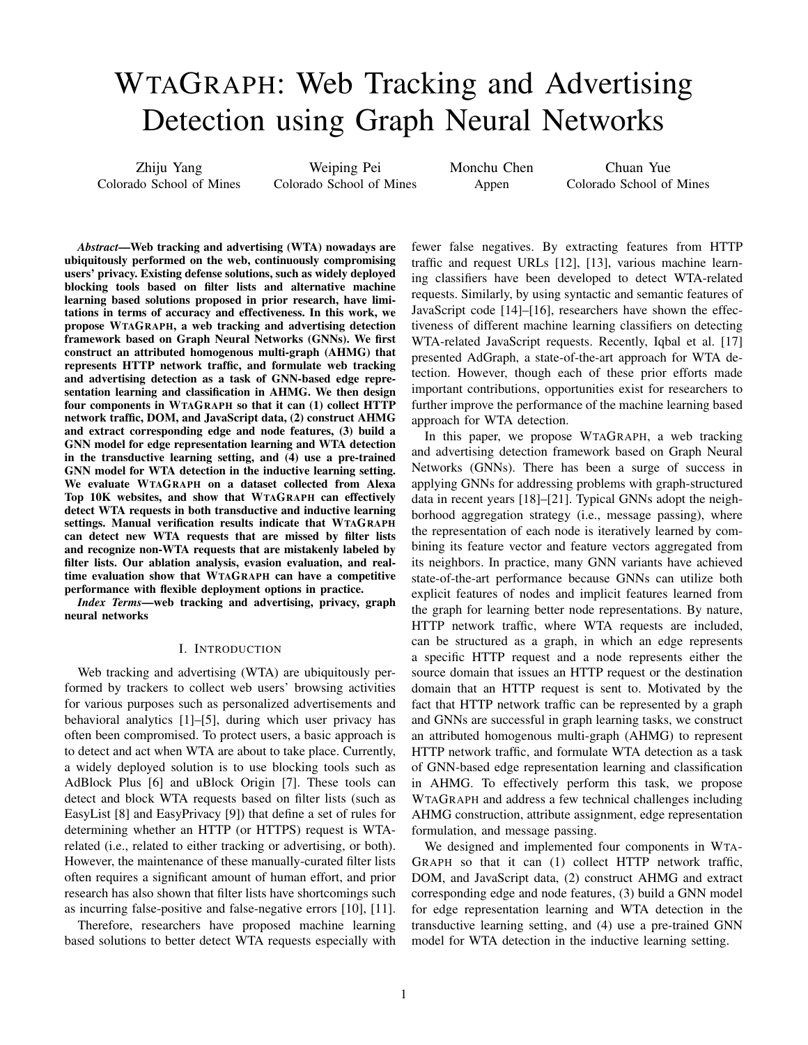# WTAGRAPH: Web Tracking and Advertising Detection using Graph Neural Networks

Zhiju Yang Colorado School of Mines

Weiping Pei Colorado School of Mines Monchu Chen Appen

Chuan Yue Colorado School of Mines

*Abstract*—Web tracking and advertising (WTA) nowadays are ubiquitously performed on the web, continuously compromising users' privacy. Existing defense solutions, such as widely deployed blocking tools based on filter lists and alternative machine learning based solutions proposed in prior research, have limitations in terms of accuracy and effectiveness. In this work, we propose WTAGRAPH, a web tracking and advertising detection framework based on Graph Neural Networks (GNNs). We first construct an attributed homogenous multi-graph (AHMG) that represents HTTP network traffic, and formulate web tracking and advertising detection as a task of GNN-based edge representation learning and classification in AHMG. We then design four components in WTAGRAPH so that it can (1) collect HTTP network traffic, DOM, and JavaScript data, (2) construct AHMG and extract corresponding edge and node features, (3) build a GNN model for edge representation learning and WTA detection in the transductive learning setting, and (4) use a pre-trained GNN model for WTA detection in the inductive learning setting. We evaluate WTAGRAPH on a dataset collected from Alexa Top 10K websites, and show that WTAGRAPH can effectively detect WTA requests in both transductive and inductive learning settings. Manual verification results indicate that WTAGRAPH can detect new WTA requests that are missed by filter lists and recognize non-WTA requests that are mistakenly labeled by filter lists. Our ablation analysis, evasion evaluation, and realtime evaluation show that WTAGRAPH can have a competitive performance with flexible deployment options in practice.

*Index Terms*—web tracking and advertising, privacy, graph neural networks

#### I. INTRODUCTION

Web tracking and advertising (WTA) are ubiquitously performed by trackers to collect web users' browsing activities for various purposes such as personalized advertisements and behavioral analytics [1]–[5], during which user privacy has often been compromised. To protect users, a basic approach is to detect and act when WTA are about to take place. Currently, a widely deployed solution is to use blocking tools such as AdBlock Plus [6] and uBlock Origin [7]. These tools can detect and block WTA requests based on filter lists (such as EasyList [8] and EasyPrivacy [9]) that define a set of rules for determining whether an HTTP (or HTTPS) request is WTArelated (i.e., related to either tracking or advertising, or both). However, the maintenance of these manually-curated filter lists often requires a significant amount of human effort, and prior research has also shown that filter lists have shortcomings such as incurring false-positive and false-negative errors [10], [11].

Therefore, researchers have proposed machine learning based solutions to better detect WTA requests especially with

fewer false negatives. By extracting features from HTTP traffic and request URLs [12], [13], various machine learning classifiers have been developed to detect WTA-related requests. Similarly, by using syntactic and semantic features of JavaScript code [14]–[16], researchers have shown the effectiveness of different machine learning classifiers on detecting WTA-related JavaScript requests. Recently, Iqbal et al. [17] presented AdGraph, a state-of-the-art approach for WTA detection. However, though each of these prior efforts made important contributions, opportunities exist for researchers to further improve the performance of the machine learning based approach for WTA detection.

In this paper, we propose WTAGRAPH, a web tracking and advertising detection framework based on Graph Neural Networks (GNNs). There has been a surge of success in applying GNNs for addressing problems with graph-structured data in recent years [18]–[21]. Typical GNNs adopt the neighborhood aggregation strategy (i.e., message passing), where the representation of each node is iteratively learned by combining its feature vector and feature vectors aggregated from its neighbors. In practice, many GNN variants have achieved state-of-the-art performance because GNNs can utilize both explicit features of nodes and implicit features learned from the graph for learning better node representations. By nature, HTTP network traffic, where WTA requests are included, can be structured as a graph, in which an edge represents a specific HTTP request and a node represents either the source domain that issues an HTTP request or the destination domain that an HTTP request is sent to. Motivated by the fact that HTTP network traffic can be represented by a graph and GNNs are successful in graph learning tasks, we construct an attributed homogenous multi-graph (AHMG) to represent HTTP network traffic, and formulate WTA detection as a task of GNN-based edge representation learning and classification in AHMG. To effectively perform this task, we propose WTAGRAPH and address a few technical challenges including AHMG construction, attribute assignment, edge representation formulation, and message passing.

We designed and implemented four components in WTA-GRAPH so that it can (1) collect HTTP network traffic, DOM, and JavaScript data, (2) construct AHMG and extract corresponding edge and node features, (3) build a GNN model for edge representation learning and WTA detection in the transductive learning setting, and (4) use a pre-trained GNN model for WTA detection in the inductive learning setting.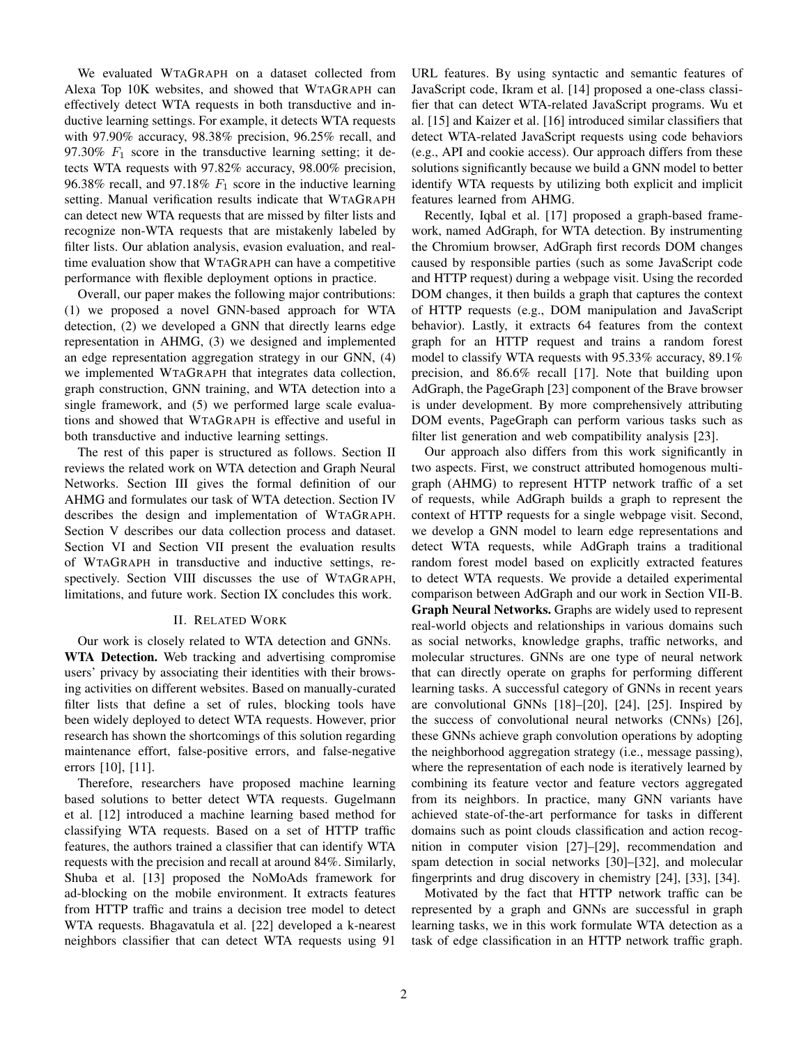We evaluated WTAGRAPH on a dataset collected from Alexa Top 10K websites, and showed that WTAGRAPH can effectively detect WTA requests in both transductive and inductive learning settings. For example, it detects WTA requests with 97.90% accuracy, 98.38% precision, 96.25% recall, and 97.30%  $F_1$  score in the transductive learning setting; it detects WTA requests with 97.82% accuracy, 98.00% precision, 96.38% recall, and 97.18%  $F_1$  score in the inductive learning setting. Manual verification results indicate that WTAGRAPH can detect new WTA requests that are missed by filter lists and recognize non-WTA requests that are mistakenly labeled by filter lists. Our ablation analysis, evasion evaluation, and realtime evaluation show that WTAGRAPH can have a competitive performance with flexible deployment options in practice.

Overall, our paper makes the following major contributions: (1) we proposed a novel GNN-based approach for WTA detection, (2) we developed a GNN that directly learns edge representation in AHMG, (3) we designed and implemented an edge representation aggregation strategy in our GNN, (4) we implemented WTAGRAPH that integrates data collection, graph construction, GNN training, and WTA detection into a single framework, and (5) we performed large scale evaluations and showed that WTAGRAPH is effective and useful in both transductive and inductive learning settings.

The rest of this paper is structured as follows. Section II reviews the related work on WTA detection and Graph Neural Networks. Section III gives the formal definition of our AHMG and formulates our task of WTA detection. Section IV describes the design and implementation of WTAGRAPH. Section V describes our data collection process and dataset. Section VI and Section VII present the evaluation results of WTAGRAPH in transductive and inductive settings, respectively. Section VIII discusses the use of WTAGRAPH, limitations, and future work. Section IX concludes this work.

#### II. RELATED WORK

Our work is closely related to WTA detection and GNNs. WTA Detection. Web tracking and advertising compromise users' privacy by associating their identities with their browsing activities on different websites. Based on manually-curated filter lists that define a set of rules, blocking tools have been widely deployed to detect WTA requests. However, prior research has shown the shortcomings of this solution regarding maintenance effort, false-positive errors, and false-negative errors [10], [11].

Therefore, researchers have proposed machine learning based solutions to better detect WTA requests. Gugelmann et al. [12] introduced a machine learning based method for classifying WTA requests. Based on a set of HTTP traffic features, the authors trained a classifier that can identify WTA requests with the precision and recall at around 84%. Similarly, Shuba et al. [13] proposed the NoMoAds framework for ad-blocking on the mobile environment. It extracts features from HTTP traffic and trains a decision tree model to detect WTA requests. Bhagavatula et al. [22] developed a k-nearest neighbors classifier that can detect WTA requests using 91

URL features. By using syntactic and semantic features of JavaScript code, Ikram et al. [14] proposed a one-class classifier that can detect WTA-related JavaScript programs. Wu et al. [15] and Kaizer et al. [16] introduced similar classifiers that detect WTA-related JavaScript requests using code behaviors (e.g., API and cookie access). Our approach differs from these solutions significantly because we build a GNN model to better identify WTA requests by utilizing both explicit and implicit features learned from AHMG.

Recently, Iqbal et al. [17] proposed a graph-based framework, named AdGraph, for WTA detection. By instrumenting the Chromium browser, AdGraph first records DOM changes caused by responsible parties (such as some JavaScript code and HTTP request) during a webpage visit. Using the recorded DOM changes, it then builds a graph that captures the context of HTTP requests (e.g., DOM manipulation and JavaScript behavior). Lastly, it extracts 64 features from the context graph for an HTTP request and trains a random forest model to classify WTA requests with 95.33% accuracy, 89.1% precision, and 86.6% recall [17]. Note that building upon AdGraph, the PageGraph [23] component of the Brave browser is under development. By more comprehensively attributing DOM events, PageGraph can perform various tasks such as filter list generation and web compatibility analysis [23].

Our approach also differs from this work significantly in two aspects. First, we construct attributed homogenous multigraph (AHMG) to represent HTTP network traffic of a set of requests, while AdGraph builds a graph to represent the context of HTTP requests for a single webpage visit. Second, we develop a GNN model to learn edge representations and detect WTA requests, while AdGraph trains a traditional random forest model based on explicitly extracted features to detect WTA requests. We provide a detailed experimental comparison between AdGraph and our work in Section VII-B. Graph Neural Networks. Graphs are widely used to represent real-world objects and relationships in various domains such as social networks, knowledge graphs, traffic networks, and molecular structures. GNNs are one type of neural network that can directly operate on graphs for performing different learning tasks. A successful category of GNNs in recent years are convolutional GNNs [18]–[20], [24], [25]. Inspired by the success of convolutional neural networks (CNNs) [26], these GNNs achieve graph convolution operations by adopting the neighborhood aggregation strategy (i.e., message passing), where the representation of each node is iteratively learned by combining its feature vector and feature vectors aggregated from its neighbors. In practice, many GNN variants have achieved state-of-the-art performance for tasks in different domains such as point clouds classification and action recognition in computer vision [27]–[29], recommendation and spam detection in social networks [30]–[32], and molecular fingerprints and drug discovery in chemistry [24], [33], [34].

Motivated by the fact that HTTP network traffic can be represented by a graph and GNNs are successful in graph learning tasks, we in this work formulate WTA detection as a task of edge classification in an HTTP network traffic graph.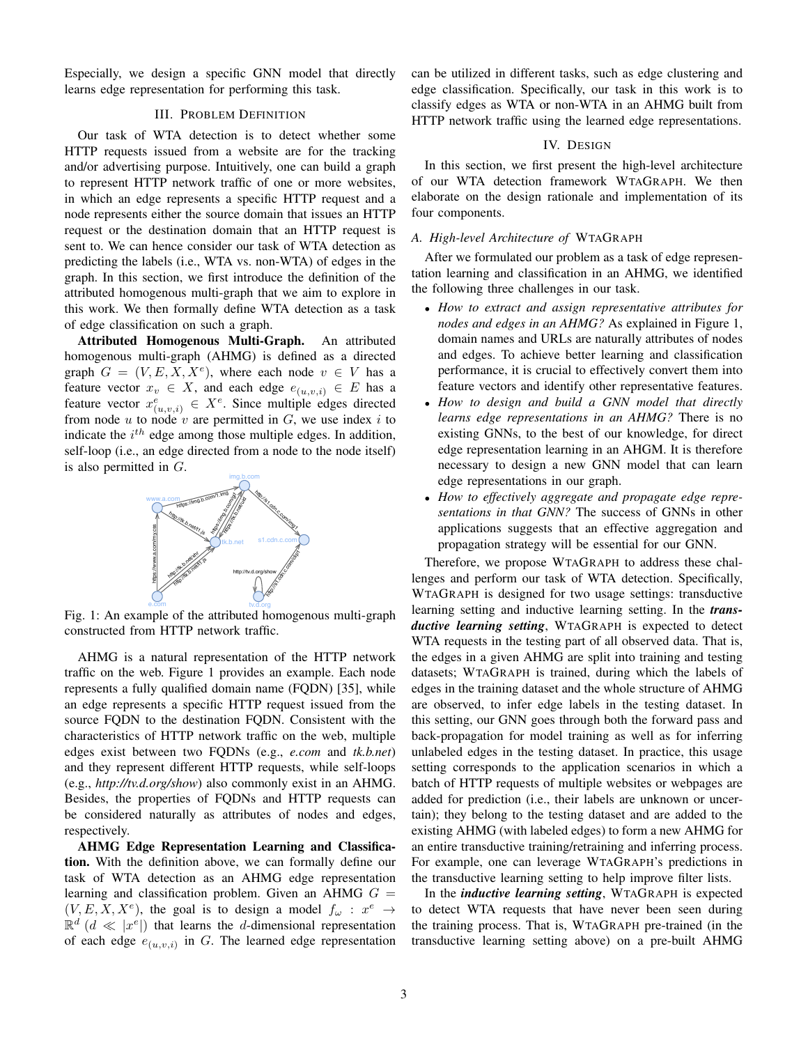Especially, we design a specific GNN model that directly learns edge representation for performing this task.

# III. PROBLEM DEFINITION

Our task of WTA detection is to detect whether some HTTP requests issued from a website are for the tracking and/or advertising purpose. Intuitively, one can build a graph to represent HTTP network traffic of one or more websites, in which an edge represents a specific HTTP request and a node represents either the source domain that issues an HTTP request or the destination domain that an HTTP request is sent to. We can hence consider our task of WTA detection as predicting the labels (i.e., WTA vs. non-WTA) of edges in the graph. In this section, we first introduce the definition of the attributed homogenous multi-graph that we aim to explore in this work. We then formally define WTA detection as a task of edge classification on such a graph.

Attributed Homogenous Multi-Graph. An attributed homogenous multi-graph (AHMG) is defined as a directed graph  $G = (V, E, X, X^e)$ , where each node  $v \in V$  has a feature vector  $x_v \in X$ , and each edge  $e_{(u,v,i)} \in E$  has a feature vector  $x^e_{(u,v,i)} \in X^e$ . Since multiple edges directed from node  $u$  to node  $v$  are permitted in  $G$ , we use index  $i$  to indicate the  $i^{th}$  edge among those multiple edges. In addition, self-loop (i.e., an edge directed from a node to the node itself) is also permitted in  $G$ .



Fig. 1: An example of the attributed homogenous multi-graph constructed from HTTP network traffic.

AHMG is a natural representation of the HTTP network traffic on the web. Figure 1 provides an example. Each node represents a fully qualified domain name (FQDN) [35], while an edge represents a specific HTTP request issued from the source FQDN to the destination FQDN. Consistent with the characteristics of HTTP network traffic on the web, multiple edges exist between two FQDNs (e.g., *e.com* and *tk.b.net*) and they represent different HTTP requests, while self-loops (e.g., *http://tv.d.org/show*) also commonly exist in an AHMG. Besides, the properties of FQDNs and HTTP requests can be considered naturally as attributes of nodes and edges, respectively.

AHMG Edge Representation Learning and Classification. With the definition above, we can formally define our task of WTA detection as an AHMG edge representation learning and classification problem. Given an AHMG  $G =$  $(V, E, X, X^e)$ , the goal is to design a model  $f_\omega : x^e \to Y$  $\mathbb{R}^d$  ( $d \ll |x^e|$ ) that learns the *d*-dimensional representation of each edge  $e_{(u,v,i)}$  in G. The learned edge representation can be utilized in different tasks, such as edge clustering and edge classification. Specifically, our task in this work is to classify edges as WTA or non-WTA in an AHMG built from HTTP network traffic using the learned edge representations.

#### IV. DESIGN

In this section, we first present the high-level architecture of our WTA detection framework WTAGRAPH. We then elaborate on the design rationale and implementation of its four components.

# *A. High-level Architecture of* WTAGRAPH

After we formulated our problem as a task of edge representation learning and classification in an AHMG, we identified the following three challenges in our task.

- *How to extract and assign representative attributes for nodes and edges in an AHMG?* As explained in Figure 1, domain names and URLs are naturally attributes of nodes and edges. To achieve better learning and classification performance, it is crucial to effectively convert them into feature vectors and identify other representative features.
- *How to design and build a GNN model that directly learns edge representations in an AHMG?* There is no existing GNNs, to the best of our knowledge, for direct edge representation learning in an AHGM. It is therefore necessary to design a new GNN model that can learn edge representations in our graph.
- *How to effectively aggregate and propagate edge representations in that GNN?* The success of GNNs in other applications suggests that an effective aggregation and propagation strategy will be essential for our GNN.

Therefore, we propose WTAGRAPH to address these challenges and perform our task of WTA detection. Specifically, WTAGRAPH is designed for two usage settings: transductive learning setting and inductive learning setting. In the *transductive learning setting*, WTAGRAPH is expected to detect WTA requests in the testing part of all observed data. That is, the edges in a given AHMG are split into training and testing datasets; WTAGRAPH is trained, during which the labels of edges in the training dataset and the whole structure of AHMG are observed, to infer edge labels in the testing dataset. In this setting, our GNN goes through both the forward pass and back-propagation for model training as well as for inferring unlabeled edges in the testing dataset. In practice, this usage setting corresponds to the application scenarios in which a batch of HTTP requests of multiple websites or webpages are added for prediction (i.e., their labels are unknown or uncertain); they belong to the testing dataset and are added to the existing AHMG (with labeled edges) to form a new AHMG for an entire transductive training/retraining and inferring process. For example, one can leverage WTAGRAPH's predictions in the transductive learning setting to help improve filter lists.

In the *inductive learning setting*, WTAGRAPH is expected to detect WTA requests that have never been seen during the training process. That is, WTAGRAPH pre-trained (in the transductive learning setting above) on a pre-built AHMG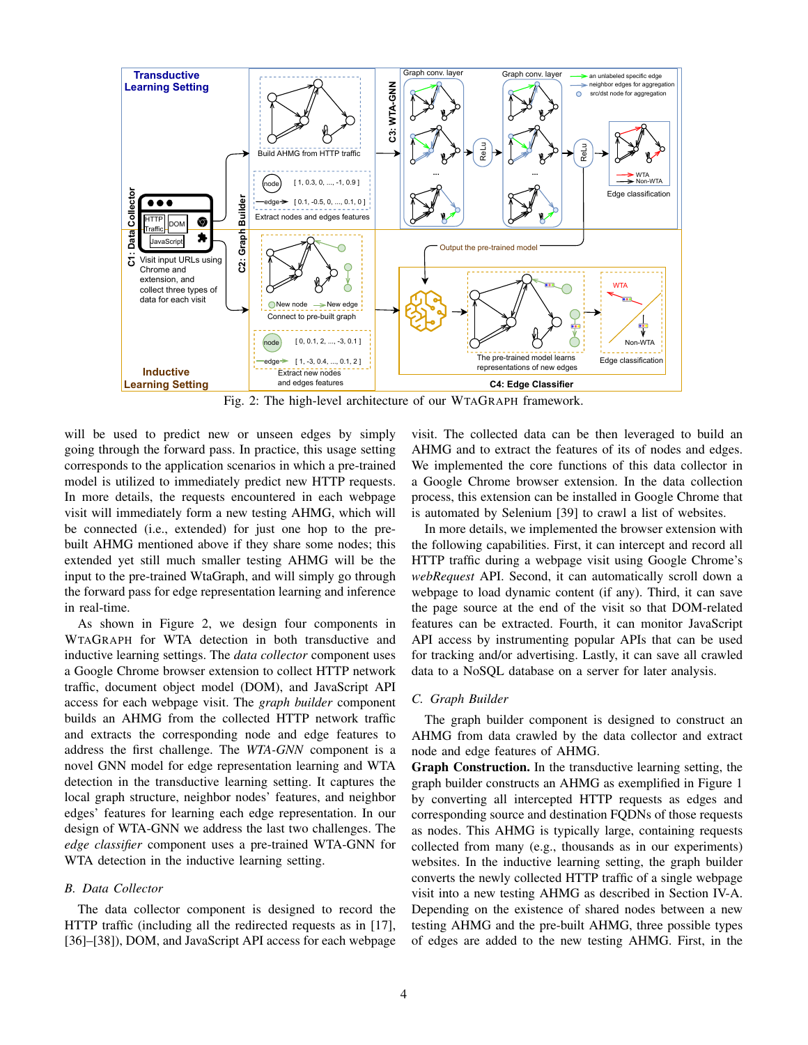

Fig. 2: The high-level architecture of our WTAGRAPH framework.

will be used to predict new or unseen edges by simply going through the forward pass. In practice, this usage setting corresponds to the application scenarios in which a pre-trained model is utilized to immediately predict new HTTP requests. In more details, the requests encountered in each webpage visit will immediately form a new testing AHMG, which will be connected (i.e., extended) for just one hop to the prebuilt AHMG mentioned above if they share some nodes; this extended yet still much smaller testing AHMG will be the input to the pre-trained WtaGraph, and will simply go through the forward pass for edge representation learning and inference in real-time.

As shown in Figure 2, we design four components in WTAGRAPH for WTA detection in both transductive and inductive learning settings. The *data collector* component uses a Google Chrome browser extension to collect HTTP network traffic, document object model (DOM), and JavaScript API access for each webpage visit. The *graph builder* component builds an AHMG from the collected HTTP network traffic and extracts the corresponding node and edge features to address the first challenge. The *WTA-GNN* component is a novel GNN model for edge representation learning and WTA detection in the transductive learning setting. It captures the local graph structure, neighbor nodes' features, and neighbor edges' features for learning each edge representation. In our design of WTA-GNN we address the last two challenges. The *edge classifier* component uses a pre-trained WTA-GNN for WTA detection in the inductive learning setting.

# *B. Data Collector*

The data collector component is designed to record the HTTP traffic (including all the redirected requests as in [17], [36]–[38]), DOM, and JavaScript API access for each webpage visit. The collected data can be then leveraged to build an AHMG and to extract the features of its of nodes and edges. We implemented the core functions of this data collector in a Google Chrome browser extension. In the data collection process, this extension can be installed in Google Chrome that is automated by Selenium [39] to crawl a list of websites.

In more details, we implemented the browser extension with the following capabilities. First, it can intercept and record all HTTP traffic during a webpage visit using Google Chrome's *webRequest* API. Second, it can automatically scroll down a webpage to load dynamic content (if any). Third, it can save the page source at the end of the visit so that DOM-related features can be extracted. Fourth, it can monitor JavaScript API access by instrumenting popular APIs that can be used for tracking and/or advertising. Lastly, it can save all crawled data to a NoSQL database on a server for later analysis.

#### *C. Graph Builder*

The graph builder component is designed to construct an AHMG from data crawled by the data collector and extract node and edge features of AHMG.

Graph Construction. In the transductive learning setting, the graph builder constructs an AHMG as exemplified in Figure 1 by converting all intercepted HTTP requests as edges and corresponding source and destination FQDNs of those requests as nodes. This AHMG is typically large, containing requests collected from many (e.g., thousands as in our experiments) websites. In the inductive learning setting, the graph builder converts the newly collected HTTP traffic of a single webpage visit into a new testing AHMG as described in Section IV-A. Depending on the existence of shared nodes between a new testing AHMG and the pre-built AHMG, three possible types of edges are added to the new testing AHMG. First, in the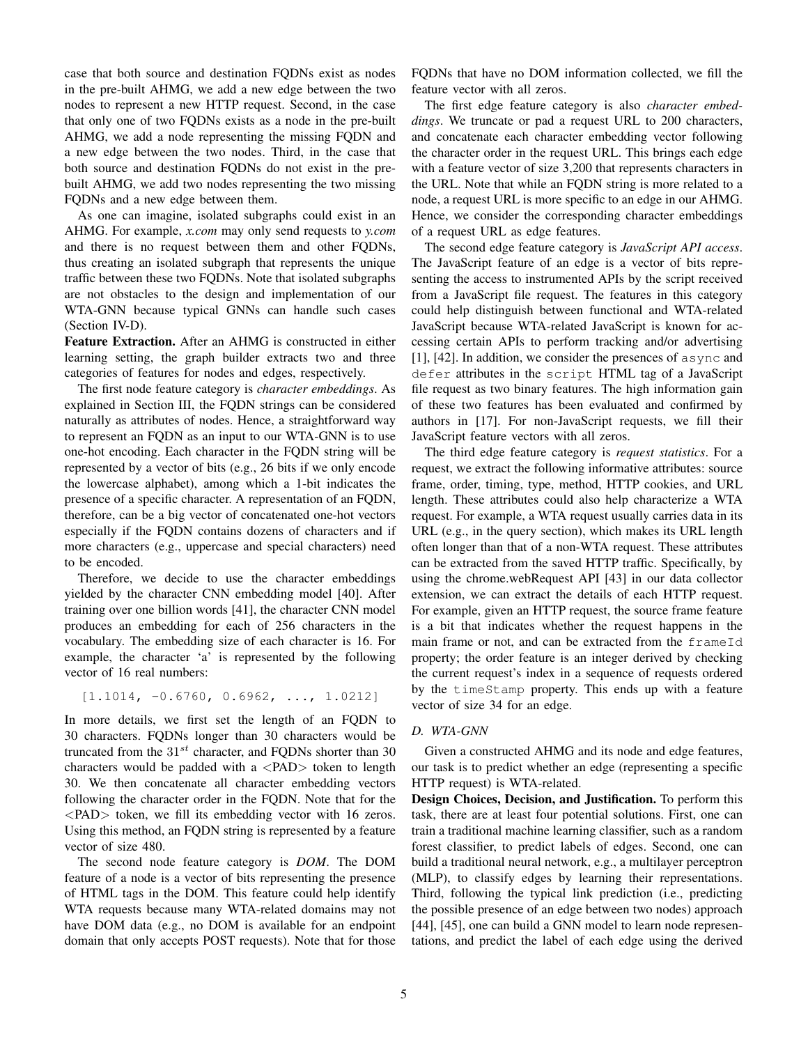case that both source and destination FQDNs exist as nodes in the pre-built AHMG, we add a new edge between the two nodes to represent a new HTTP request. Second, in the case that only one of two FQDNs exists as a node in the pre-built AHMG, we add a node representing the missing FQDN and a new edge between the two nodes. Third, in the case that both source and destination FQDNs do not exist in the prebuilt AHMG, we add two nodes representing the two missing FQDNs and a new edge between them.

As one can imagine, isolated subgraphs could exist in an AHMG. For example, *x.com* may only send requests to *y.com* and there is no request between them and other FQDNs, thus creating an isolated subgraph that represents the unique traffic between these two FQDNs. Note that isolated subgraphs are not obstacles to the design and implementation of our WTA-GNN because typical GNNs can handle such cases (Section IV-D).

Feature Extraction. After an AHMG is constructed in either learning setting, the graph builder extracts two and three categories of features for nodes and edges, respectively.

The first node feature category is *character embeddings*. As explained in Section III, the FQDN strings can be considered naturally as attributes of nodes. Hence, a straightforward way to represent an FQDN as an input to our WTA-GNN is to use one-hot encoding. Each character in the FQDN string will be represented by a vector of bits (e.g., 26 bits if we only encode the lowercase alphabet), among which a 1-bit indicates the presence of a specific character. A representation of an FQDN, therefore, can be a big vector of concatenated one-hot vectors especially if the FQDN contains dozens of characters and if more characters (e.g., uppercase and special characters) need to be encoded.

Therefore, we decide to use the character embeddings yielded by the character CNN embedding model [40]. After training over one billion words [41], the character CNN model produces an embedding for each of 256 characters in the vocabulary. The embedding size of each character is 16. For example, the character 'a' is represented by the following vector of 16 real numbers:

$$
[1.1014, -0.6760, 0.6962, ..., 1.0212]
$$

In more details, we first set the length of an FQDN to 30 characters. FQDNs longer than 30 characters would be truncated from the  $31^{st}$  character, and FQDNs shorter than 30 characters would be padded with a  $\langle$ PAD $>$  token to length 30. We then concatenate all character embedding vectors following the character order in the FQDN. Note that for the  $\langle$ PAD $>$  token, we fill its embedding vector with 16 zeros. Using this method, an FQDN string is represented by a feature vector of size 480.

The second node feature category is *DOM*. The DOM feature of a node is a vector of bits representing the presence of HTML tags in the DOM. This feature could help identify WTA requests because many WTA-related domains may not have DOM data (e.g., no DOM is available for an endpoint domain that only accepts POST requests). Note that for those FQDNs that have no DOM information collected, we fill the feature vector with all zeros.

The first edge feature category is also *character embeddings*. We truncate or pad a request URL to 200 characters, and concatenate each character embedding vector following the character order in the request URL. This brings each edge with a feature vector of size 3,200 that represents characters in the URL. Note that while an FQDN string is more related to a node, a request URL is more specific to an edge in our AHMG. Hence, we consider the corresponding character embeddings of a request URL as edge features.

The second edge feature category is *JavaScript API access*. The JavaScript feature of an edge is a vector of bits representing the access to instrumented APIs by the script received from a JavaScript file request. The features in this category could help distinguish between functional and WTA-related JavaScript because WTA-related JavaScript is known for accessing certain APIs to perform tracking and/or advertising [1], [42]. In addition, we consider the presences of async and defer attributes in the script HTML tag of a JavaScript file request as two binary features. The high information gain of these two features has been evaluated and confirmed by authors in [17]. For non-JavaScript requests, we fill their JavaScript feature vectors with all zeros.

The third edge feature category is *request statistics*. For a request, we extract the following informative attributes: source frame, order, timing, type, method, HTTP cookies, and URL length. These attributes could also help characterize a WTA request. For example, a WTA request usually carries data in its URL (e.g., in the query section), which makes its URL length often longer than that of a non-WTA request. These attributes can be extracted from the saved HTTP traffic. Specifically, by using the chrome.webRequest API [43] in our data collector extension, we can extract the details of each HTTP request. For example, given an HTTP request, the source frame feature is a bit that indicates whether the request happens in the main frame or not, and can be extracted from the frameId property; the order feature is an integer derived by checking the current request's index in a sequence of requests ordered by the timeStamp property. This ends up with a feature vector of size 34 for an edge.

#### *D. WTA-GNN*

Given a constructed AHMG and its node and edge features, our task is to predict whether an edge (representing a specific HTTP request) is WTA-related.

Design Choices, Decision, and Justification. To perform this task, there are at least four potential solutions. First, one can train a traditional machine learning classifier, such as a random forest classifier, to predict labels of edges. Second, one can build a traditional neural network, e.g., a multilayer perceptron (MLP), to classify edges by learning their representations. Third, following the typical link prediction (i.e., predicting the possible presence of an edge between two nodes) approach [44], [45], one can build a GNN model to learn node representations, and predict the label of each edge using the derived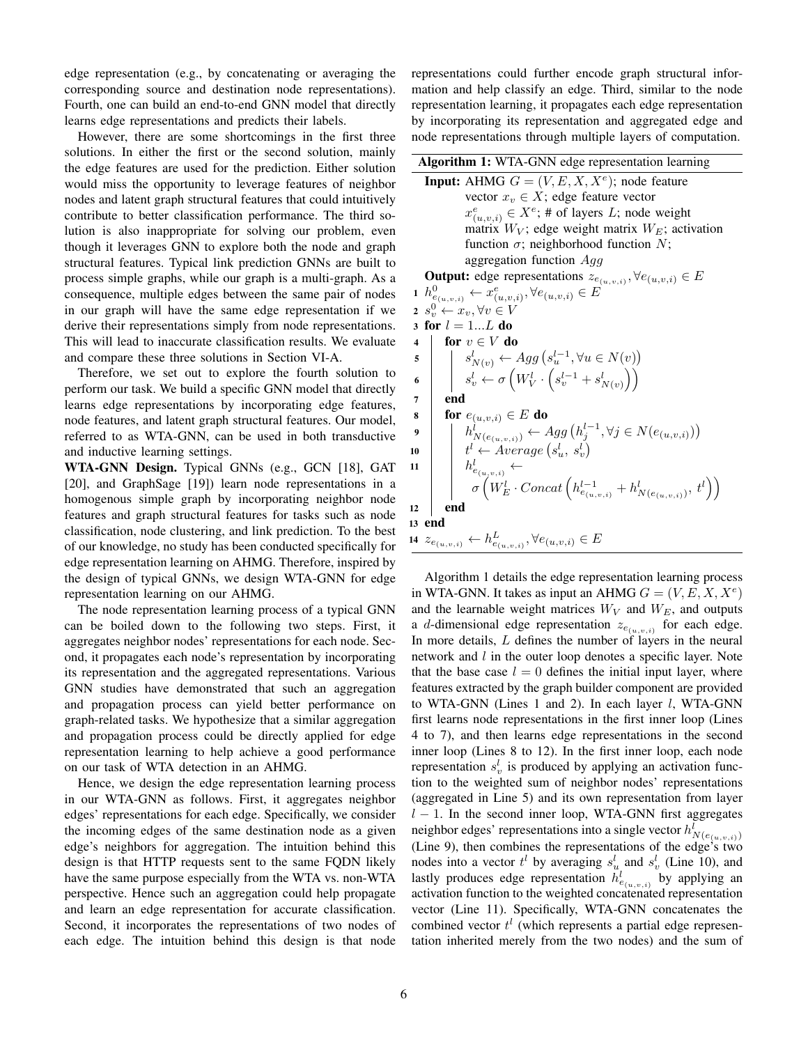edge representation (e.g., by concatenating or averaging the corresponding source and destination node representations). Fourth, one can build an end-to-end GNN model that directly learns edge representations and predicts their labels.

However, there are some shortcomings in the first three solutions. In either the first or the second solution, mainly the edge features are used for the prediction. Either solution would miss the opportunity to leverage features of neighbor nodes and latent graph structural features that could intuitively contribute to better classification performance. The third solution is also inappropriate for solving our problem, even though it leverages GNN to explore both the node and graph structural features. Typical link prediction GNNs are built to process simple graphs, while our graph is a multi-graph. As a consequence, multiple edges between the same pair of nodes in our graph will have the same edge representation if we derive their representations simply from node representations. This will lead to inaccurate classification results. We evaluate and compare these three solutions in Section VI-A.

Therefore, we set out to explore the fourth solution to perform our task. We build a specific GNN model that directly learns edge representations by incorporating edge features, node features, and latent graph structural features. Our model, referred to as WTA-GNN, can be used in both transductive and inductive learning settings.

WTA-GNN Design. Typical GNNs (e.g., GCN [18], GAT [20], and GraphSage [19]) learn node representations in a homogenous simple graph by incorporating neighbor node features and graph structural features for tasks such as node classification, node clustering, and link prediction. To the best of our knowledge, no study has been conducted specifically for edge representation learning on AHMG. Therefore, inspired by the design of typical GNNs, we design WTA-GNN for edge representation learning on our AHMG.

The node representation learning process of a typical GNN can be boiled down to the following two steps. First, it aggregates neighbor nodes' representations for each node. Second, it propagates each node's representation by incorporating its representation and the aggregated representations. Various GNN studies have demonstrated that such an aggregation and propagation process can yield better performance on graph-related tasks. We hypothesize that a similar aggregation and propagation process could be directly applied for edge representation learning to help achieve a good performance on our task of WTA detection in an AHMG.

Hence, we design the edge representation learning process in our WTA-GNN as follows. First, it aggregates neighbor edges' representations for each edge. Specifically, we consider the incoming edges of the same destination node as a given edge's neighbors for aggregation. The intuition behind this design is that HTTP requests sent to the same FQDN likely have the same purpose especially from the WTA vs. non-WTA perspective. Hence such an aggregation could help propagate and learn an edge representation for accurate classification. Second, it incorporates the representations of two nodes of each edge. The intuition behind this design is that node representations could further encode graph structural information and help classify an edge. Third, similar to the node representation learning, it propagates each edge representation by incorporating its representation and aggregated edge and node representations through multiple layers of computation.

Algorithm 1: WTA-GNN edge representation learning **Input:** AHMG  $G = (V, E, X, X^e)$ ; node feature vector  $x_v \in X$ ; edge feature vector  $x^e_{(u,v,i)} \in X^e$ ; # of layers L; node weight matrix  $W_V$ ; edge weight matrix  $W_E$ ; activation function  $\sigma$ ; neighborhood function N; aggregation function  $Agg$ **Output:** edge representations  $z_{e_{(u,v,i)}}, \forall e_{(u,v,i)} \in E$ 1  $h_{e_{(u,v,i)}}^0 \leftarrow x_{(u,v,i)}^e, \forall e_{(u,v,i)} \in E$ 2  $s_v^0 \leftarrow x_v, \forall v \in V$ 3 for  $l = 1...L$  do 4 for  $v \in V$  do 5  $\begin{pmatrix} s'_{N(v)} \leftarrow Agg(s_u^{l-1}, \forall u \in N(v)) \end{pmatrix}$  $\begin{pmatrix} s_v^l & \left( W_V^l \cdot \left( s_v^{l-1} + s_{N(v)}^l \right) \right) \end{pmatrix}$  $7 \parallel end$ 8 for  $e_{(u,v,i)} \in E$  do 9  $\begin{array}{|c|c|c|c|}\n\hline\n\text{ } & h^l_{N(e_{(u,v,i)})} \leftarrow Agg\left(h_j^{l-1}, \forall j \in N(e_{(u,v,i)})\right) \n\end{array}$ 10  $\left| \quad \right|$   $t^{l} \leftarrow Average(s_{u}^{l}, s_{v}^{l})$  $\mathbf{11}$  |  $h$  $e_{(u,v,i)} \leftarrow$  $\sigma\left(W_E^l\cdot Concat\left(h_{e_{(u,v,i)}}^{l-1}+h_{N(e_{(u,v,i)})}^l,\ t^l\right)\right)$ 12 end 13 end 14  $z_{e_{(u,v,i)}} \leftarrow h_{e_{(u,v,i)}}^{L}, \forall e_{(u,v,i)} \in E$ 

Algorithm 1 details the edge representation learning process in WTA-GNN. It takes as input an AHMG  $G = (V, E, X, X^e)$ and the learnable weight matrices  $W_V$  and  $W_E$ , and outputs a d-dimensional edge representation  $z_{e_{(u,v,i)}}$  for each edge. In more details,  $L$  defines the number of layers in the neural network and l in the outer loop denotes a specific layer. Note that the base case  $l = 0$  defines the initial input layer, where features extracted by the graph builder component are provided to WTA-GNN (Lines 1 and 2). In each layer  $l$ , WTA-GNN first learns node representations in the first inner loop (Lines 4 to 7), and then learns edge representations in the second inner loop (Lines 8 to 12). In the first inner loop, each node representation  $s_v^l$  is produced by applying an activation function to the weighted sum of neighbor nodes' representations (aggregated in Line 5) and its own representation from layer  $l - 1$ . In the second inner loop, WTA-GNN first aggregates neighbor edges' representations into a single vector  $h^l_{N(e_{(u,v,i)})}$ (Line 9), then combines the representations of the edge's two nodes into a vector  $t^l$  by averaging  $s_u^l$  and  $s_v^l$  (Line 10), and lastly produces edge representation  $h_{e_{(u,v,i)}}^l$  by applying an activation function to the weighted concatenated representation vector (Line 11). Specifically, WTA-GNN concatenates the combined vector  $t^l$  (which represents a partial edge representation inherited merely from the two nodes) and the sum of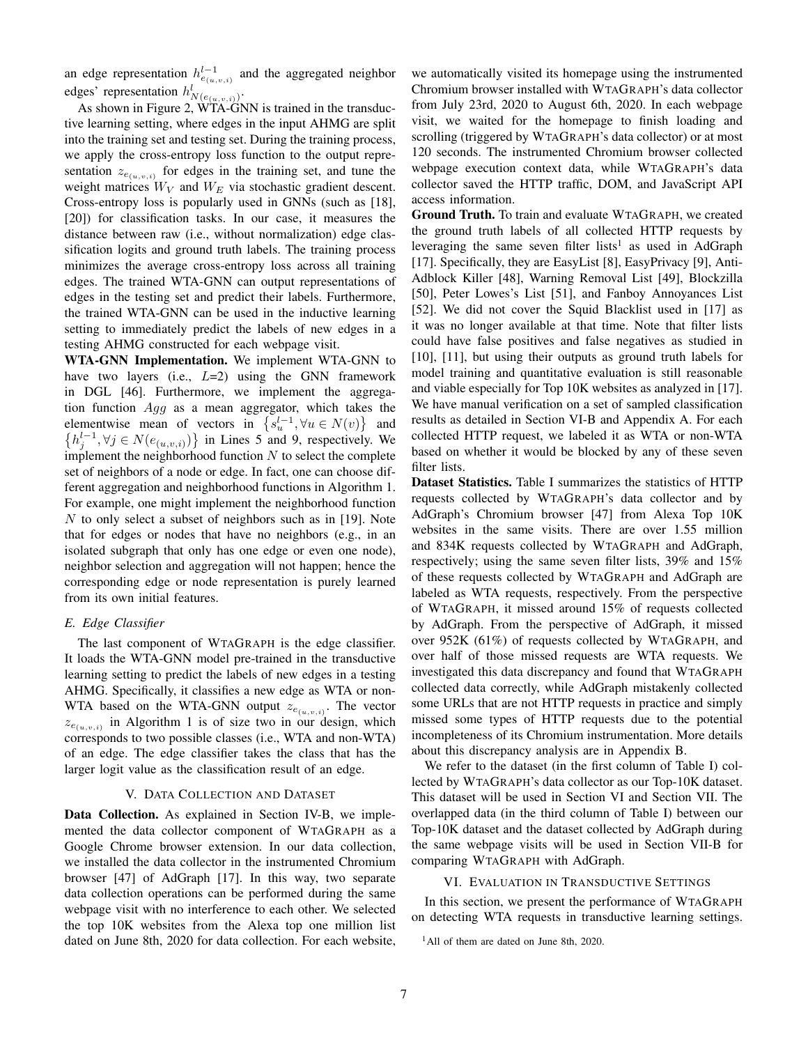an edge representation  $h_{e_{(u,v,i)}}^{l-1}$  and the aggregated neighbor edges' representation  $h_{N(e_{(u,v,i)})}^l$ .

As shown in Figure 2, WTA-GNN is trained in the transductive learning setting, where edges in the input AHMG are split into the training set and testing set. During the training process, we apply the cross-entropy loss function to the output representation  $z_{e_{(u,v,i)}}$  for edges in the training set, and tune the weight matrices  $W_V$  and  $W_E$  via stochastic gradient descent. Cross-entropy loss is popularly used in GNNs (such as [18], [20]) for classification tasks. In our case, it measures the distance between raw (i.e., without normalization) edge classification logits and ground truth labels. The training process minimizes the average cross-entropy loss across all training edges. The trained WTA-GNN can output representations of edges in the testing set and predict their labels. Furthermore, the trained WTA-GNN can be used in the inductive learning setting to immediately predict the labels of new edges in a testing AHMG constructed for each webpage visit.

WTA-GNN Implementation. We implement WTA-GNN to have two layers (i.e.,  $L=2$ ) using the GNN framework in DGL [46]. Furthermore, we implement the aggregation function  $Agg$  as a mean aggregator, which takes the elementwise mean of vectors in  $\{s_u^{l-1}, \forall u \in N(v)\}$  and { $h_j^{l-1}, \forall j$  ∈  $N(e_{(u,v,i)})$ } in Lines 5 and 9, respectively. We implement the neighborhood function  $N$  to select the complete set of neighbors of a node or edge. In fact, one can choose different aggregation and neighborhood functions in Algorithm 1. For example, one might implement the neighborhood function N to only select a subset of neighbors such as in [19]. Note that for edges or nodes that have no neighbors (e.g., in an isolated subgraph that only has one edge or even one node), neighbor selection and aggregation will not happen; hence the corresponding edge or node representation is purely learned from its own initial features.

# *E. Edge Classifier*

The last component of WTAGRAPH is the edge classifier. It loads the WTA-GNN model pre-trained in the transductive learning setting to predict the labels of new edges in a testing AHMG. Specifically, it classifies a new edge as WTA or non-WTA based on the WTA-GNN output  $z_{e_{(u,v,i)}}$ . The vector  $z_{e_{(u,v,i)}}$  in Algorithm 1 is of size two in our design, which corresponds to two possible classes (i.e., WTA and non-WTA) of an edge. The edge classifier takes the class that has the larger logit value as the classification result of an edge.

# V. DATA COLLECTION AND DATASET

Data Collection. As explained in Section IV-B, we implemented the data collector component of WTAGRAPH as a Google Chrome browser extension. In our data collection, we installed the data collector in the instrumented Chromium browser [47] of AdGraph [17]. In this way, two separate data collection operations can be performed during the same webpage visit with no interference to each other. We selected the top 10K websites from the Alexa top one million list dated on June 8th, 2020 for data collection. For each website, we automatically visited its homepage using the instrumented Chromium browser installed with WTAGRAPH's data collector from July 23rd, 2020 to August 6th, 2020. In each webpage visit, we waited for the homepage to finish loading and scrolling (triggered by WTAGRAPH's data collector) or at most 120 seconds. The instrumented Chromium browser collected webpage execution context data, while WTAGRAPH's data collector saved the HTTP traffic, DOM, and JavaScript API access information.

Ground Truth. To train and evaluate WTAGRAPH, we created the ground truth labels of all collected HTTP requests by leveraging the same seven filter lists<sup>1</sup> as used in AdGraph [17]. Specifically, they are EasyList [8], EasyPrivacy [9], Anti-Adblock Killer [48], Warning Removal List [49], Blockzilla [50], Peter Lowes's List [51], and Fanboy Annoyances List [52]. We did not cover the Squid Blacklist used in [17] as it was no longer available at that time. Note that filter lists could have false positives and false negatives as studied in [10], [11], but using their outputs as ground truth labels for model training and quantitative evaluation is still reasonable and viable especially for Top 10K websites as analyzed in [17]. We have manual verification on a set of sampled classification results as detailed in Section VI-B and Appendix A. For each collected HTTP request, we labeled it as WTA or non-WTA based on whether it would be blocked by any of these seven filter lists.

Dataset Statistics. Table I summarizes the statistics of HTTP requests collected by WTAGRAPH's data collector and by AdGraph's Chromium browser [47] from Alexa Top 10K websites in the same visits. There are over 1.55 million and 834K requests collected by WTAGRAPH and AdGraph, respectively; using the same seven filter lists, 39% and 15% of these requests collected by WTAGRAPH and AdGraph are labeled as WTA requests, respectively. From the perspective of WTAGRAPH, it missed around 15% of requests collected by AdGraph. From the perspective of AdGraph, it missed over 952K (61%) of requests collected by WTAGRAPH, and over half of those missed requests are WTA requests. We investigated this data discrepancy and found that WTAGRAPH collected data correctly, while AdGraph mistakenly collected some URLs that are not HTTP requests in practice and simply missed some types of HTTP requests due to the potential incompleteness of its Chromium instrumentation. More details about this discrepancy analysis are in Appendix B.

We refer to the dataset (in the first column of Table I) collected by WTAGRAPH's data collector as our Top-10K dataset. This dataset will be used in Section VI and Section VII. The overlapped data (in the third column of Table I) between our Top-10K dataset and the dataset collected by AdGraph during the same webpage visits will be used in Section VII-B for comparing WTAGRAPH with AdGraph.

#### VI. EVALUATION IN TRANSDUCTIVE SETTINGS

In this section, we present the performance of WTAGRAPH on detecting WTA requests in transductive learning settings.

<sup>&</sup>lt;sup>1</sup>All of them are dated on June 8th, 2020.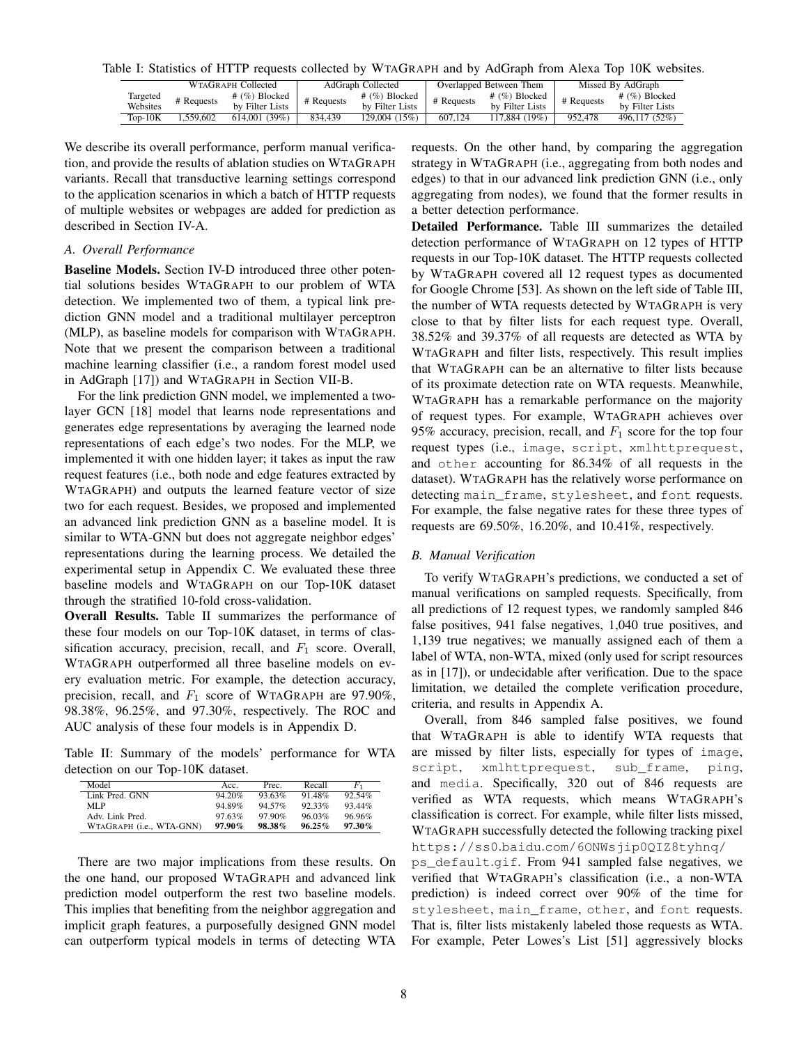Table I: Statistics of HTTP requests collected by WTAGRAPH and by AdGraph from Alexa Top 10K websites.

| WTAGRAPH Collected   |            |                                    |            | <b>AdGraph Collected</b>            |            | Overlapped Between Them            | Missed By AdGraph |                                       |  |
|----------------------|------------|------------------------------------|------------|-------------------------------------|------------|------------------------------------|-------------------|---------------------------------------|--|
| Targeted<br>Websites | # Requests | $#$ (%) Blocked<br>by Filter Lists | # Requests | # $(\%)$ Blocked<br>by Filter Lists | # Requests | $#$ (%) Blocked<br>by Filter Lists | # Requests        | $#$ $(\%)$ Blocked<br>by Filter Lists |  |
| $Top-10K$            | 1.559.602  | 614,001 (39%)                      | 834.439    | 129,004 (15%)                       | 607.124    | 117,884 (19%)                      | 952,478           | 496.117 (52%)                         |  |

We describe its overall performance, perform manual verification, and provide the results of ablation studies on WTAGRAPH variants. Recall that transductive learning settings correspond to the application scenarios in which a batch of HTTP requests of multiple websites or webpages are added for prediction as described in Section IV-A.

#### *A. Overall Performance*

Baseline Models. Section IV-D introduced three other potential solutions besides WTAGRAPH to our problem of WTA detection. We implemented two of them, a typical link prediction GNN model and a traditional multilayer perceptron (MLP), as baseline models for comparison with WTAGRAPH. Note that we present the comparison between a traditional machine learning classifier (i.e., a random forest model used in AdGraph [17]) and WTAGRAPH in Section VII-B.

For the link prediction GNN model, we implemented a twolayer GCN [18] model that learns node representations and generates edge representations by averaging the learned node representations of each edge's two nodes. For the MLP, we implemented it with one hidden layer; it takes as input the raw request features (i.e., both node and edge features extracted by WTAGRAPH) and outputs the learned feature vector of size two for each request. Besides, we proposed and implemented an advanced link prediction GNN as a baseline model. It is similar to WTA-GNN but does not aggregate neighbor edges' representations during the learning process. We detailed the experimental setup in Appendix C. We evaluated these three baseline models and WTAGRAPH on our Top-10K dataset through the stratified 10-fold cross-validation.

Overall Results. Table II summarizes the performance of these four models on our Top-10K dataset, in terms of classification accuracy, precision, recall, and  $F_1$  score. Overall, WTAGRAPH outperformed all three baseline models on every evaluation metric. For example, the detection accuracy, precision, recall, and  $F_1$  score of WTAGRAPH are 97.90%, 98.38%, 96.25%, and 97.30%, respectively. The ROC and AUC analysis of these four models is in Appendix D.

Table II: Summary of the models' performance for WTA detection on our Top-10K dataset.

| Model                    | Acc.      | Prec.  | Recall | $F_{1}$   |
|--------------------------|-----------|--------|--------|-----------|
| Link Pred. GNN           | 94.20%    | 93.63% | 91 48% | 92.54%    |
| MI P                     | 94.89%    | 94.57% | 92.33% | 93.44%    |
| Adv. Link Pred.          | 97.63%    | 97.90% | 96.03% | 96.96%    |
| WTAGRAPH (i.e., WTA-GNN) | $97.90\%$ | 98.38% | 96.25% | $97.30\%$ |

There are two major implications from these results. On the one hand, our proposed WTAGRAPH and advanced link prediction model outperform the rest two baseline models. This implies that benefiting from the neighbor aggregation and implicit graph features, a purposefully designed GNN model can outperform typical models in terms of detecting WTA requests. On the other hand, by comparing the aggregation strategy in WTAGRAPH (i.e., aggregating from both nodes and edges) to that in our advanced link prediction GNN (i.e., only aggregating from nodes), we found that the former results in a better detection performance.

Detailed Performance. Table III summarizes the detailed detection performance of WTAGRAPH on 12 types of HTTP requests in our Top-10K dataset. The HTTP requests collected by WTAGRAPH covered all 12 request types as documented for Google Chrome [53]. As shown on the left side of Table III, the number of WTA requests detected by WTAGRAPH is very close to that by filter lists for each request type. Overall, 38.52% and 39.37% of all requests are detected as WTA by WTAGRAPH and filter lists, respectively. This result implies that WTAGRAPH can be an alternative to filter lists because of its proximate detection rate on WTA requests. Meanwhile, WTAGRAPH has a remarkable performance on the majority of request types. For example, WTAGRAPH achieves over 95% accuracy, precision, recall, and  $F_1$  score for the top four request types (i.e., image, script, xmlhttprequest, and other accounting for 86.34% of all requests in the dataset). WTAGRAPH has the relatively worse performance on detecting main\_frame, stylesheet, and font requests. For example, the false negative rates for these three types of requests are 69.50%, 16.20%, and 10.41%, respectively.

#### *B. Manual Verification*

To verify WTAGRAPH's predictions, we conducted a set of manual verifications on sampled requests. Specifically, from all predictions of 12 request types, we randomly sampled 846 false positives, 941 false negatives, 1,040 true positives, and 1,139 true negatives; we manually assigned each of them a label of WTA, non-WTA, mixed (only used for script resources as in [17]), or undecidable after verification. Due to the space limitation, we detailed the complete verification procedure, criteria, and results in Appendix A.

Overall, from 846 sampled false positives, we found that WTAGRAPH is able to identify WTA requests that are missed by filter lists, especially for types of image, script, xmlhttprequest, sub\_frame, ping, and media. Specifically, 320 out of 846 requests are verified as WTA requests, which means WTAGRAPH's classification is correct. For example, while filter lists missed, WTAGRAPH successfully detected the following tracking pixel https://ss0.baidu.com/6ONWsjip0QIZ8tyhnq/

ps\_default.gif. From 941 sampled false negatives, we verified that WTAGRAPH's classification (i.e., a non-WTA prediction) is indeed correct over 90% of the time for stylesheet, main\_frame, other, and font requests. That is, filter lists mistakenly labeled those requests as WTA. For example, Peter Lowes's List [51] aggressively blocks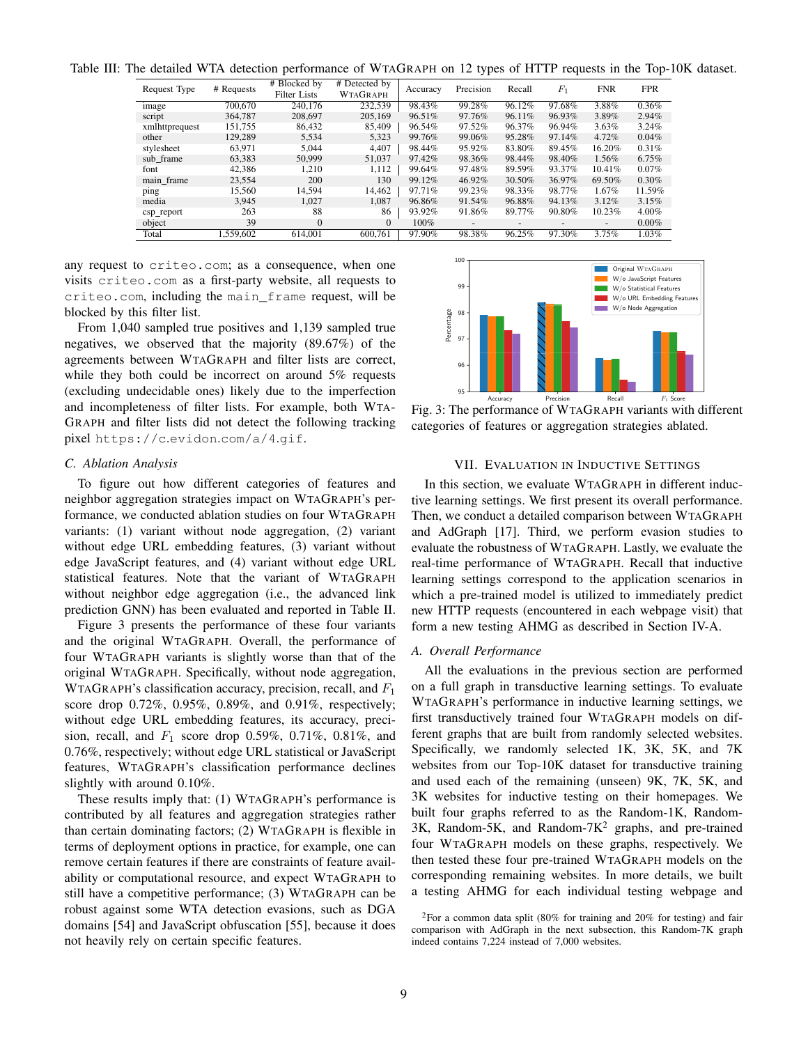Table III: The detailed WTA detection performance of WTAGRAPH on 12 types of HTTP requests in the Top-10K dataset.

| Request Type   | # Requests | # Blocked by<br><b>Filter Lists</b> | # Detected by<br>WTAGRAPH | Accuracy | Precision                | Recall | $F_1$  | <b>FNR</b> | <b>FPR</b> |
|----------------|------------|-------------------------------------|---------------------------|----------|--------------------------|--------|--------|------------|------------|
| image          | 700,670    | 240.176                             | 232,539                   | 98.43%   | 99.28%                   | 96.12% | 97.68% | 3.88%      | 0.36%      |
| script         | 364,787    | 208,697                             | 205,169                   | 96.51%   | 97.76%                   | 96.11% | 96.93% | $3.89\%$   | 2.94%      |
| xmlhttprequest | 151.755    | 86.432                              | 85.409                    | 96.54%   | 97.52%                   | 96.37% | 96.94% | 3.63%      | $3.24\%$   |
| other          | 129.289    | 5,534                               | 5,323                     | 99.76%   | 99.06%                   | 95.28% | 97.14% | 4.72%      | $0.04\%$   |
| stylesheet     | 63.971     | 5.044                               | 4.407                     | 98.44%   | 95.92%                   | 83.80% | 89.45% | 16.20%     | 0.31%      |
| sub frame      | 63.383     | 50,999                              | 51.037                    | 97.42%   | 98.36%                   | 98.44% | 98.40% | 1.56%      | $6.75\%$   |
| font           | 42.386     | 1.210                               | 1.112                     | 99.64%   | 97.48%                   | 89.59% | 93.37% | 10.41%     | $0.07\%$   |
| main frame     | 23.554     | 200                                 | 130                       | 99.12%   | 46.92%                   | 30.50% | 36.97% | 69.50%     | 0.30%      |
| ping           | 15.560     | 14.594                              | 14.462                    | 97.71%   | 99.23%                   | 98.33% | 98.77% | 1.67%      | 11.59%     |
| media          | 3.945      | 1,027                               | 1.087                     | 96.86%   | 91.54%                   | 96.88% | 94.13% | 3.12%      | 3.15%      |
| csp_report     | 263        | 88                                  | 86                        | 93.92%   | 91.86%                   | 89.77% | 90.80% | 10.23%     | $4.00\%$   |
| object         | 39         | $\mathbf{0}$                        | $\Omega$                  | $100\%$  | $\overline{\phantom{0}}$ |        |        | -          | $0.00\%$   |
| Total          | 1.559.602  | 614.001                             | 600.761                   | 97.90%   | 98.38%                   | 96.25% | 97.30% | 3.75%      | 1.03%      |

any request to criteo.com; as a consequence, when one visits criteo.com as a first-party website, all requests to criteo.com, including the main\_frame request, will be blocked by this filter list.

From 1,040 sampled true positives and 1,139 sampled true negatives, we observed that the majority (89.67%) of the agreements between WTAGRAPH and filter lists are correct, while they both could be incorrect on around 5% requests (excluding undecidable ones) likely due to the imperfection and incompleteness of filter lists. For example, both WTA-GRAPH and filter lists did not detect the following tracking pixel https://c.evidon.com/a/4.gif.

### *C. Ablation Analysis*

To figure out how different categories of features and neighbor aggregation strategies impact on WTAGRAPH's performance, we conducted ablation studies on four WTAGRAPH variants: (1) variant without node aggregation, (2) variant without edge URL embedding features, (3) variant without edge JavaScript features, and (4) variant without edge URL statistical features. Note that the variant of WTAGRAPH without neighbor edge aggregation (i.e., the advanced link prediction GNN) has been evaluated and reported in Table II.

Figure 3 presents the performance of these four variants and the original WTAGRAPH. Overall, the performance of four WTAGRAPH variants is slightly worse than that of the original WTAGRAPH. Specifically, without node aggregation, WTAGRAPH's classification accuracy, precision, recall, and  $F_1$ score drop 0.72%, 0.95%, 0.89%, and 0.91%, respectively; without edge URL embedding features, its accuracy, precision, recall, and  $F_1$  score drop 0.59%, 0.71%, 0.81%, and 0.76%, respectively; without edge URL statistical or JavaScript features, WTAGRAPH's classification performance declines slightly with around 0.10%.

These results imply that: (1) WTAGRAPH's performance is contributed by all features and aggregation strategies rather than certain dominating factors; (2) WTAGRAPH is flexible in terms of deployment options in practice, for example, one can remove certain features if there are constraints of feature availability or computational resource, and expect WTAGRAPH to still have a competitive performance; (3) WTAGRAPH can be robust against some WTA detection evasions, such as DGA domains [54] and JavaScript obfuscation [55], because it does not heavily rely on certain specific features.



Fig. 3: The performance of WTAGRAPH variants with different categories of features or aggregation strategies ablated.

#### VII. EVALUATION IN INDUCTIVE SETTINGS

In this section, we evaluate WTAGRAPH in different inductive learning settings. We first present its overall performance. Then, we conduct a detailed comparison between WTAGRAPH and AdGraph [17]. Third, we perform evasion studies to evaluate the robustness of WTAGRAPH. Lastly, we evaluate the real-time performance of WTAGRAPH. Recall that inductive learning settings correspond to the application scenarios in which a pre-trained model is utilized to immediately predict new HTTP requests (encountered in each webpage visit) that form a new testing AHMG as described in Section IV-A.

#### *A. Overall Performance*

All the evaluations in the previous section are performed on a full graph in transductive learning settings. To evaluate WTAGRAPH's performance in inductive learning settings, we first transductively trained four WTAGRAPH models on different graphs that are built from randomly selected websites. Specifically, we randomly selected 1K, 3K, 5K, and 7K websites from our Top-10K dataset for transductive training and used each of the remaining (unseen) 9K, 7K, 5K, and 3K websites for inductive testing on their homepages. We built four graphs referred to as the Random-1K, Random-3K, Random-5K, and Random-7K<sup>2</sup> graphs, and pre-trained four WTAGRAPH models on these graphs, respectively. We then tested these four pre-trained WTAGRAPH models on the corresponding remaining websites. In more details, we built a testing AHMG for each individual testing webpage and

<sup>&</sup>lt;sup>2</sup>For a common data split (80% for training and 20% for testing) and fair comparison with AdGraph in the next subsection, this Random-7K graph indeed contains 7,224 instead of 7,000 websites.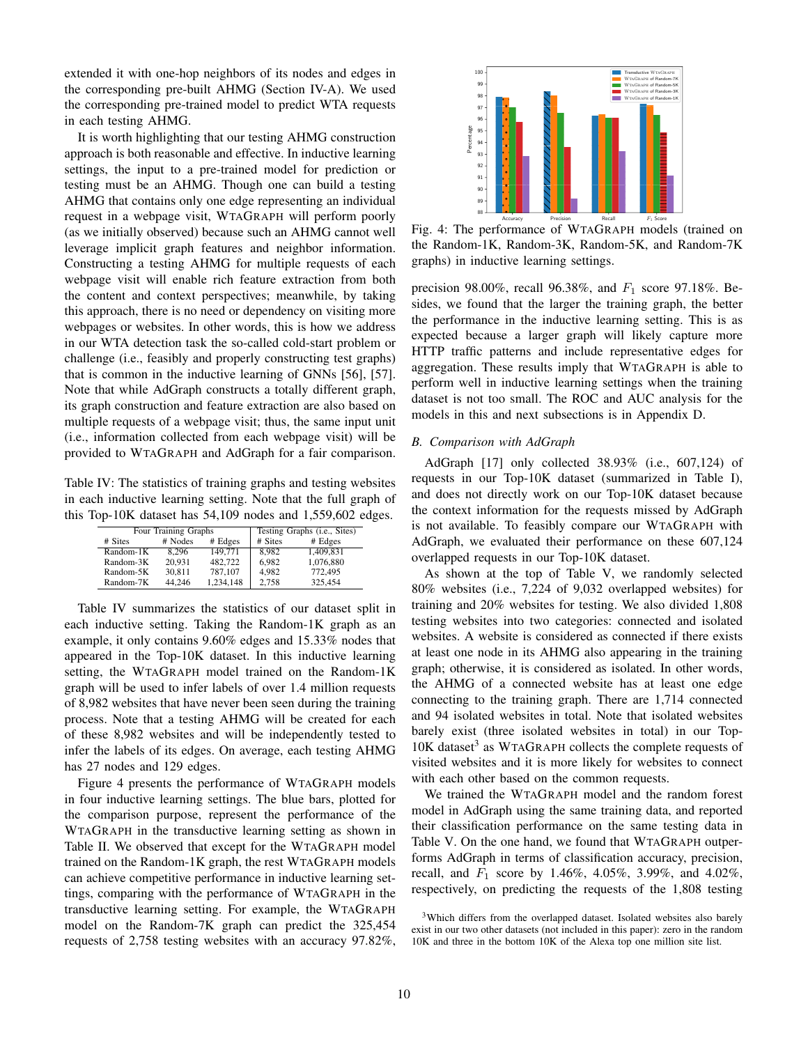extended it with one-hop neighbors of its nodes and edges in the corresponding pre-built AHMG (Section IV-A). We used the corresponding pre-trained model to predict WTA requests in each testing AHMG.

It is worth highlighting that our testing AHMG construction approach is both reasonable and effective. In inductive learning settings, the input to a pre-trained model for prediction or testing must be an AHMG. Though one can build a testing AHMG that contains only one edge representing an individual request in a webpage visit, WTAGRAPH will perform poorly (as we initially observed) because such an AHMG cannot well leverage implicit graph features and neighbor information. Constructing a testing AHMG for multiple requests of each webpage visit will enable rich feature extraction from both the content and context perspectives; meanwhile, by taking this approach, there is no need or dependency on visiting more webpages or websites. In other words, this is how we address in our WTA detection task the so-called cold-start problem or challenge (i.e., feasibly and properly constructing test graphs) that is common in the inductive learning of GNNs [56], [57]. Note that while AdGraph constructs a totally different graph, its graph construction and feature extraction are also based on multiple requests of a webpage visit; thus, the same input unit (i.e., information collected from each webpage visit) will be provided to WTAGRAPH and AdGraph for a fair comparison.

Table IV: The statistics of training graphs and testing websites in each inductive learning setting. Note that the full graph of this Top-10K dataset has 54,109 nodes and 1,559,602 edges.

|           | Four Training Graphs | Testing Graphs ( <i>i.e.</i> , Sites) |         |           |  |
|-----------|----------------------|---------------------------------------|---------|-----------|--|
| # Sites   | # Nodes              | # Edges                               | # Sites | # Edges   |  |
| Random-1K | 8.296                | 149,771                               | 8.982   | 1.409.831 |  |
| Random-3K | 20.931               | 482.722                               | 6.982   | 1,076,880 |  |
| Random-5K | 30.811               | 787,107                               | 4.982   | 772,495   |  |
| Random-7K | 44.246               | 1.234.148                             | 2.758   | 325,454   |  |

Table IV summarizes the statistics of our dataset split in each inductive setting. Taking the Random-1K graph as an example, it only contains 9.60% edges and 15.33% nodes that appeared in the Top-10K dataset. In this inductive learning setting, the WTAGRAPH model trained on the Random-1K graph will be used to infer labels of over 1.4 million requests of 8,982 websites that have never been seen during the training process. Note that a testing AHMG will be created for each of these 8,982 websites and will be independently tested to infer the labels of its edges. On average, each testing AHMG has 27 nodes and 129 edges.

Figure 4 presents the performance of WTAGRAPH models in four inductive learning settings. The blue bars, plotted for the comparison purpose, represent the performance of the WTAGRAPH in the transductive learning setting as shown in Table II. We observed that except for the WTAGRAPH model trained on the Random-1K graph, the rest WTAGRAPH models can achieve competitive performance in inductive learning settings, comparing with the performance of WTAGRAPH in the transductive learning setting. For example, the WTAGRAPH model on the Random-7K graph can predict the 325,454 requests of 2,758 testing websites with an accuracy 97.82%,



Fig. 4: The performance of WTAGRAPH models (trained on the Random-1K, Random-3K, Random-5K, and Random-7K graphs) in inductive learning settings.

precision 98.00%, recall 96.38%, and  $F_1$  score 97.18%. Besides, we found that the larger the training graph, the better the performance in the inductive learning setting. This is as expected because a larger graph will likely capture more HTTP traffic patterns and include representative edges for aggregation. These results imply that WTAGRAPH is able to perform well in inductive learning settings when the training dataset is not too small. The ROC and AUC analysis for the models in this and next subsections is in Appendix D.

# *B. Comparison with AdGraph*

AdGraph [17] only collected 38.93% (i.e., 607,124) of requests in our Top-10K dataset (summarized in Table I), and does not directly work on our Top-10K dataset because the context information for the requests missed by AdGraph is not available. To feasibly compare our WTAGRAPH with AdGraph, we evaluated their performance on these 607,124 overlapped requests in our Top-10K dataset.

As shown at the top of Table V, we randomly selected 80% websites (i.e., 7,224 of 9,032 overlapped websites) for training and 20% websites for testing. We also divided 1,808 testing websites into two categories: connected and isolated websites. A website is considered as connected if there exists at least one node in its AHMG also appearing in the training graph; otherwise, it is considered as isolated. In other words, the AHMG of a connected website has at least one edge connecting to the training graph. There are 1,714 connected and 94 isolated websites in total. Note that isolated websites barely exist (three isolated websites in total) in our Top-10K dataset<sup>3</sup> as WTAGRAPH collects the complete requests of visited websites and it is more likely for websites to connect with each other based on the common requests.

We trained the WTAGRAPH model and the random forest model in AdGraph using the same training data, and reported their classification performance on the same testing data in Table V. On the one hand, we found that WTAGRAPH outperforms AdGraph in terms of classification accuracy, precision, recall, and  $F_1$  score by 1.46%, 4.05%, 3.99%, and 4.02%, respectively, on predicting the requests of the 1,808 testing

<sup>&</sup>lt;sup>3</sup>Which differs from the overlapped dataset. Isolated websites also barely exist in our two other datasets (not included in this paper): zero in the random 10K and three in the bottom 10K of the Alexa top one million site list.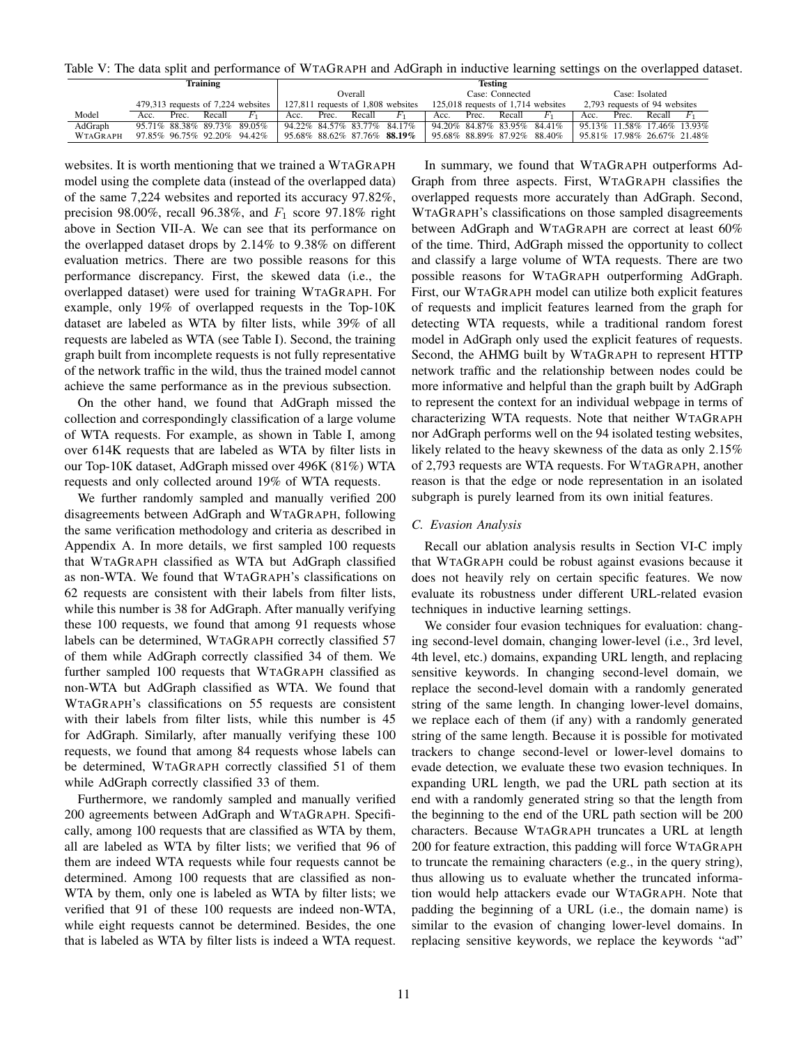Table V: The data split and performance of WTAGRAPH and AdGraph in inductive learning settings on the overlapped dataset.

| Training |      |       |        | <b>Testing</b>                     |         |                                      |        |                                    |                                      |       |                |                               |                             |       |        |       |
|----------|------|-------|--------|------------------------------------|---------|--------------------------------------|--------|------------------------------------|--------------------------------------|-------|----------------|-------------------------------|-----------------------------|-------|--------|-------|
|          |      |       |        |                                    | Overall |                                      |        | Case: Connected                    |                                      |       | Case: Isolated |                               |                             |       |        |       |
|          |      |       |        | 479,313 requests of 7,224 websites |         | $127,811$ requests of 1,808 websites |        |                                    | $125,018$ requests of 1,714 websites |       |                | 2,793 requests of 94 websites |                             |       |        |       |
| Model    | Acc. | Prec. | Recall | H <sub>1</sub>                     | Acc.    | Prec.                                | Recall | $H^{\prime}$                       | Acc.                                 | Prec. | Recall         | $H_1$                         | Acc.                        | Prec. | Recall | $F_1$ |
| AdGraph  |      |       |        | 95.71% 88.38% 89.73% 89.05%        |         |                                      |        | 94.22\% 84.57\% 83.77\% 84.17\%    |                                      |       |                | 94.20% 84.87% 83.95% 84.41%   | 95.13% 11.58% 17.46% 13.93% |       |        |       |
| WTAGRAPH |      |       |        | 97.85% 96.75% 92.20% 94.42%        |         |                                      |        | 95.68% 88.62% 87.76% <b>88.19%</b> | 95.68% 88.89% 87.92% 88.40%          |       |                | 95.81% 17.98% 26.67% 21.48%   |                             |       |        |       |

websites. It is worth mentioning that we trained a WTAGRAPH model using the complete data (instead of the overlapped data) of the same 7,224 websites and reported its accuracy 97.82%, precision 98.00%, recall 96.38%, and  $F_1$  score 97.18% right above in Section VII-A. We can see that its performance on the overlapped dataset drops by 2.14% to 9.38% on different evaluation metrics. There are two possible reasons for this performance discrepancy. First, the skewed data (i.e., the overlapped dataset) were used for training WTAGRAPH. For example, only 19% of overlapped requests in the Top-10K dataset are labeled as WTA by filter lists, while 39% of all requests are labeled as WTA (see Table I). Second, the training graph built from incomplete requests is not fully representative of the network traffic in the wild, thus the trained model cannot achieve the same performance as in the previous subsection.

On the other hand, we found that AdGraph missed the collection and correspondingly classification of a large volume of WTA requests. For example, as shown in Table I, among over 614K requests that are labeled as WTA by filter lists in our Top-10K dataset, AdGraph missed over 496K (81%) WTA requests and only collected around 19% of WTA requests.

We further randomly sampled and manually verified 200 disagreements between AdGraph and WTAGRAPH, following the same verification methodology and criteria as described in Appendix A. In more details, we first sampled 100 requests that WTAGRAPH classified as WTA but AdGraph classified as non-WTA. We found that WTAGRAPH's classifications on 62 requests are consistent with their labels from filter lists, while this number is 38 for AdGraph. After manually verifying these 100 requests, we found that among 91 requests whose labels can be determined, WTAGRAPH correctly classified 57 of them while AdGraph correctly classified 34 of them. We further sampled 100 requests that WTAGRAPH classified as non-WTA but AdGraph classified as WTA. We found that WTAGRAPH's classifications on 55 requests are consistent with their labels from filter lists, while this number is 45 for AdGraph. Similarly, after manually verifying these 100 requests, we found that among 84 requests whose labels can be determined, WTAGRAPH correctly classified 51 of them while AdGraph correctly classified 33 of them.

Furthermore, we randomly sampled and manually verified 200 agreements between AdGraph and WTAGRAPH. Specifically, among 100 requests that are classified as WTA by them, all are labeled as WTA by filter lists; we verified that 96 of them are indeed WTA requests while four requests cannot be determined. Among 100 requests that are classified as non-WTA by them, only one is labeled as WTA by filter lists; we verified that 91 of these 100 requests are indeed non-WTA, while eight requests cannot be determined. Besides, the one that is labeled as WTA by filter lists is indeed a WTA request.

In summary, we found that WTAGRAPH outperforms Ad-Graph from three aspects. First, WTAGRAPH classifies the overlapped requests more accurately than AdGraph. Second, WTAGRAPH's classifications on those sampled disagreements between AdGraph and WTAGRAPH are correct at least 60% of the time. Third, AdGraph missed the opportunity to collect and classify a large volume of WTA requests. There are two possible reasons for WTAGRAPH outperforming AdGraph. First, our WTAGRAPH model can utilize both explicit features of requests and implicit features learned from the graph for detecting WTA requests, while a traditional random forest model in AdGraph only used the explicit features of requests. Second, the AHMG built by WTAGRAPH to represent HTTP network traffic and the relationship between nodes could be more informative and helpful than the graph built by AdGraph to represent the context for an individual webpage in terms of characterizing WTA requests. Note that neither WTAGRAPH nor AdGraph performs well on the 94 isolated testing websites, likely related to the heavy skewness of the data as only 2.15% of 2,793 requests are WTA requests. For WTAGRAPH, another reason is that the edge or node representation in an isolated subgraph is purely learned from its own initial features.

# *C. Evasion Analysis*

Recall our ablation analysis results in Section VI-C imply that WTAGRAPH could be robust against evasions because it does not heavily rely on certain specific features. We now evaluate its robustness under different URL-related evasion techniques in inductive learning settings.

We consider four evasion techniques for evaluation: changing second-level domain, changing lower-level (i.e., 3rd level, 4th level, etc.) domains, expanding URL length, and replacing sensitive keywords. In changing second-level domain, we replace the second-level domain with a randomly generated string of the same length. In changing lower-level domains, we replace each of them (if any) with a randomly generated string of the same length. Because it is possible for motivated trackers to change second-level or lower-level domains to evade detection, we evaluate these two evasion techniques. In expanding URL length, we pad the URL path section at its end with a randomly generated string so that the length from the beginning to the end of the URL path section will be 200 characters. Because WTAGRAPH truncates a URL at length 200 for feature extraction, this padding will force WTAGRAPH to truncate the remaining characters (e.g., in the query string), thus allowing us to evaluate whether the truncated information would help attackers evade our WTAGRAPH. Note that padding the beginning of a URL (i.e., the domain name) is similar to the evasion of changing lower-level domains. In replacing sensitive keywords, we replace the keywords "ad"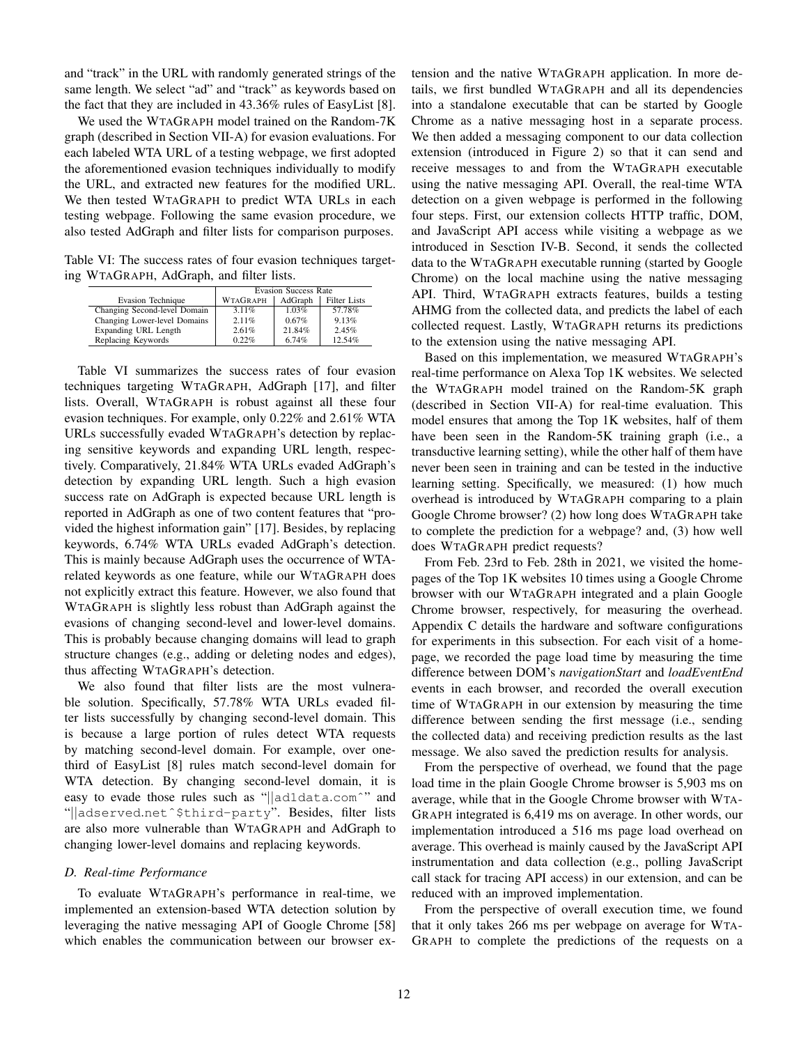and "track" in the URL with randomly generated strings of the same length. We select "ad" and "track" as keywords based on the fact that they are included in 43.36% rules of EasyList [8].

We used the WTAGRAPH model trained on the Random-7K graph (described in Section VII-A) for evasion evaluations. For each labeled WTA URL of a testing webpage, we first adopted the aforementioned evasion techniques individually to modify the URL, and extracted new features for the modified URL. We then tested WTAGRAPH to predict WTA URLs in each testing webpage. Following the same evasion procedure, we also tested AdGraph and filter lists for comparison purposes.

Table VI: The success rates of four evasion techniques targeting WTAGRAPH, AdGraph, and filter lists.

|                              | <b>Evasion Success Rate</b> |         |                     |  |  |  |
|------------------------------|-----------------------------|---------|---------------------|--|--|--|
| Evasion Technique            | <b>WTAGRAPH</b>             | AdGraph | <b>Filter Lists</b> |  |  |  |
| Changing Second-level Domain | $3.11\%$                    | 1.03%   | 57.78%              |  |  |  |
| Changing Lower-level Domains | 2.11%                       | 0.67%   | 9.13%               |  |  |  |
| Expanding URL Length         | 2.61%                       | 21.84%  | 2.45%               |  |  |  |
| Replacing Keywords           | 0.22%                       | 6.74%   | 12.54%              |  |  |  |

Table VI summarizes the success rates of four evasion techniques targeting WTAGRAPH, AdGraph [17], and filter lists. Overall, WTAGRAPH is robust against all these four evasion techniques. For example, only 0.22% and 2.61% WTA URLs successfully evaded WTAGRAPH's detection by replacing sensitive keywords and expanding URL length, respectively. Comparatively, 21.84% WTA URLs evaded AdGraph's detection by expanding URL length. Such a high evasion success rate on AdGraph is expected because URL length is reported in AdGraph as one of two content features that "provided the highest information gain" [17]. Besides, by replacing keywords, 6.74% WTA URLs evaded AdGraph's detection. This is mainly because AdGraph uses the occurrence of WTArelated keywords as one feature, while our WTAGRAPH does not explicitly extract this feature. However, we also found that WTAGRAPH is slightly less robust than AdGraph against the evasions of changing second-level and lower-level domains. This is probably because changing domains will lead to graph structure changes (e.g., adding or deleting nodes and edges), thus affecting WTAGRAPH's detection.

We also found that filter lists are the most vulnerable solution. Specifically, 57.78% WTA URLs evaded filter lists successfully by changing second-level domain. This is because a large portion of rules detect WTA requests by matching second-level domain. For example, over onethird of EasyList [8] rules match second-level domain for WTA detection. By changing second-level domain, it is easy to evade those rules such as "||ad1data.comˆ" and "||adserved.netˆ\$third-party". Besides, filter lists are also more vulnerable than WTAGRAPH and AdGraph to changing lower-level domains and replacing keywords.

#### *D. Real-time Performance*

To evaluate WTAGRAPH's performance in real-time, we implemented an extension-based WTA detection solution by leveraging the native messaging API of Google Chrome [58] which enables the communication between our browser extension and the native WTAGRAPH application. In more details, we first bundled WTAGRAPH and all its dependencies into a standalone executable that can be started by Google Chrome as a native messaging host in a separate process. We then added a messaging component to our data collection extension (introduced in Figure 2) so that it can send and receive messages to and from the WTAGRAPH executable using the native messaging API. Overall, the real-time WTA detection on a given webpage is performed in the following four steps. First, our extension collects HTTP traffic, DOM, and JavaScript API access while visiting a webpage as we introduced in Sesction IV-B. Second, it sends the collected data to the WTAGRAPH executable running (started by Google Chrome) on the local machine using the native messaging API. Third, WTAGRAPH extracts features, builds a testing AHMG from the collected data, and predicts the label of each collected request. Lastly, WTAGRAPH returns its predictions to the extension using the native messaging API.

Based on this implementation, we measured WTAGRAPH's real-time performance on Alexa Top 1K websites. We selected the WTAGRAPH model trained on the Random-5K graph (described in Section VII-A) for real-time evaluation. This model ensures that among the Top 1K websites, half of them have been seen in the Random-5K training graph (i.e., a transductive learning setting), while the other half of them have never been seen in training and can be tested in the inductive learning setting. Specifically, we measured: (1) how much overhead is introduced by WTAGRAPH comparing to a plain Google Chrome browser? (2) how long does WTAGRAPH take to complete the prediction for a webpage? and, (3) how well does WTAGRAPH predict requests?

From Feb. 23rd to Feb. 28th in 2021, we visited the homepages of the Top 1K websites 10 times using a Google Chrome browser with our WTAGRAPH integrated and a plain Google Chrome browser, respectively, for measuring the overhead. Appendix C details the hardware and software configurations for experiments in this subsection. For each visit of a homepage, we recorded the page load time by measuring the time difference between DOM's *navigationStart* and *loadEventEnd* events in each browser, and recorded the overall execution time of WTAGRAPH in our extension by measuring the time difference between sending the first message (i.e., sending the collected data) and receiving prediction results as the last message. We also saved the prediction results for analysis.

From the perspective of overhead, we found that the page load time in the plain Google Chrome browser is 5,903 ms on average, while that in the Google Chrome browser with WTA-GRAPH integrated is 6,419 ms on average. In other words, our implementation introduced a 516 ms page load overhead on average. This overhead is mainly caused by the JavaScript API instrumentation and data collection (e.g., polling JavaScript call stack for tracing API access) in our extension, and can be reduced with an improved implementation.

From the perspective of overall execution time, we found that it only takes 266 ms per webpage on average for WTA-GRAPH to complete the predictions of the requests on a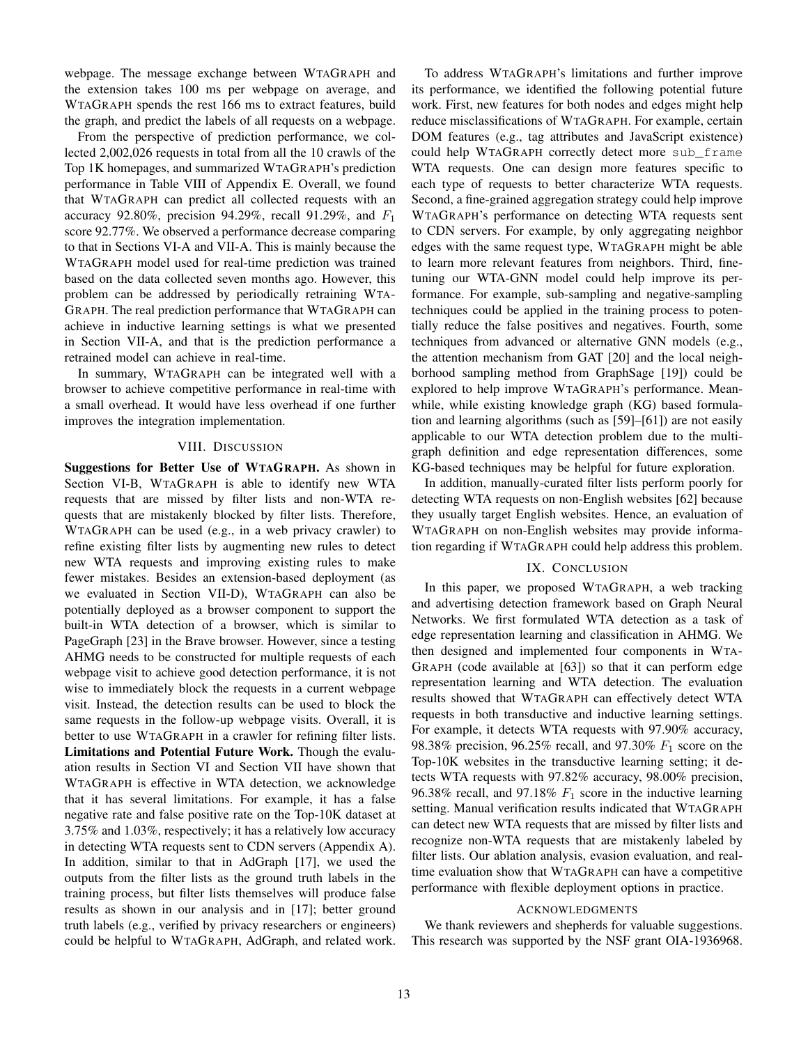webpage. The message exchange between WTAGRAPH and the extension takes 100 ms per webpage on average, and WTAGRAPH spends the rest 166 ms to extract features, build the graph, and predict the labels of all requests on a webpage.

From the perspective of prediction performance, we collected 2,002,026 requests in total from all the 10 crawls of the Top 1K homepages, and summarized WTAGRAPH's prediction performance in Table VIII of Appendix E. Overall, we found that WTAGRAPH can predict all collected requests with an accuracy 92.80%, precision 94.29%, recall 91.29%, and  $F_1$ score 92.77%. We observed a performance decrease comparing to that in Sections VI-A and VII-A. This is mainly because the WTAGRAPH model used for real-time prediction was trained based on the data collected seven months ago. However, this problem can be addressed by periodically retraining WTA-GRAPH. The real prediction performance that WTAGRAPH can achieve in inductive learning settings is what we presented in Section VII-A, and that is the prediction performance a retrained model can achieve in real-time.

In summary, WTAGRAPH can be integrated well with a browser to achieve competitive performance in real-time with a small overhead. It would have less overhead if one further improves the integration implementation.

#### VIII. DISCUSSION

Suggestions for Better Use of WTAGRAPH. As shown in Section VI-B, WTAGRAPH is able to identify new WTA requests that are missed by filter lists and non-WTA requests that are mistakenly blocked by filter lists. Therefore, WTAGRAPH can be used (e.g., in a web privacy crawler) to refine existing filter lists by augmenting new rules to detect new WTA requests and improving existing rules to make fewer mistakes. Besides an extension-based deployment (as we evaluated in Section VII-D), WTAGRAPH can also be potentially deployed as a browser component to support the built-in WTA detection of a browser, which is similar to PageGraph [23] in the Brave browser. However, since a testing AHMG needs to be constructed for multiple requests of each webpage visit to achieve good detection performance, it is not wise to immediately block the requests in a current webpage visit. Instead, the detection results can be used to block the same requests in the follow-up webpage visits. Overall, it is better to use WTAGRAPH in a crawler for refining filter lists. Limitations and Potential Future Work. Though the evaluation results in Section VI and Section VII have shown that WTAGRAPH is effective in WTA detection, we acknowledge that it has several limitations. For example, it has a false negative rate and false positive rate on the Top-10K dataset at 3.75% and 1.03%, respectively; it has a relatively low accuracy in detecting WTA requests sent to CDN servers (Appendix A). In addition, similar to that in AdGraph [17], we used the outputs from the filter lists as the ground truth labels in the training process, but filter lists themselves will produce false results as shown in our analysis and in [17]; better ground truth labels (e.g., verified by privacy researchers or engineers) could be helpful to WTAGRAPH, AdGraph, and related work.

To address WTAGRAPH's limitations and further improve its performance, we identified the following potential future work. First, new features for both nodes and edges might help reduce misclassifications of WTAGRAPH. For example, certain DOM features (e.g., tag attributes and JavaScript existence) could help WTAGRAPH correctly detect more sub\_frame WTA requests. One can design more features specific to each type of requests to better characterize WTA requests. Second, a fine-grained aggregation strategy could help improve WTAGRAPH's performance on detecting WTA requests sent to CDN servers. For example, by only aggregating neighbor edges with the same request type, WTAGRAPH might be able to learn more relevant features from neighbors. Third, finetuning our WTA-GNN model could help improve its performance. For example, sub-sampling and negative-sampling techniques could be applied in the training process to potentially reduce the false positives and negatives. Fourth, some techniques from advanced or alternative GNN models (e.g., the attention mechanism from GAT [20] and the local neighborhood sampling method from GraphSage [19]) could be explored to help improve WTAGRAPH's performance. Meanwhile, while existing knowledge graph (KG) based formulation and learning algorithms (such as [59]–[61]) are not easily applicable to our WTA detection problem due to the multigraph definition and edge representation differences, some KG-based techniques may be helpful for future exploration.

In addition, manually-curated filter lists perform poorly for detecting WTA requests on non-English websites [62] because they usually target English websites. Hence, an evaluation of WTAGRAPH on non-English websites may provide information regarding if WTAGRAPH could help address this problem.

# IX. CONCLUSION

In this paper, we proposed WTAGRAPH, a web tracking and advertising detection framework based on Graph Neural Networks. We first formulated WTA detection as a task of edge representation learning and classification in AHMG. We then designed and implemented four components in WTA-GRAPH (code available at [63]) so that it can perform edge representation learning and WTA detection. The evaluation results showed that WTAGRAPH can effectively detect WTA requests in both transductive and inductive learning settings. For example, it detects WTA requests with 97.90% accuracy, 98.38% precision, 96.25% recall, and 97.30%  $F_1$  score on the Top-10K websites in the transductive learning setting; it detects WTA requests with 97.82% accuracy, 98.00% precision, 96.38% recall, and 97.18%  $F_1$  score in the inductive learning setting. Manual verification results indicated that WTAGRAPH can detect new WTA requests that are missed by filter lists and recognize non-WTA requests that are mistakenly labeled by filter lists. Our ablation analysis, evasion evaluation, and realtime evaluation show that WTAGRAPH can have a competitive performance with flexible deployment options in practice.

#### ACKNOWLEDGMENTS

We thank reviewers and shepherds for valuable suggestions. This research was supported by the NSF grant OIA-1936968.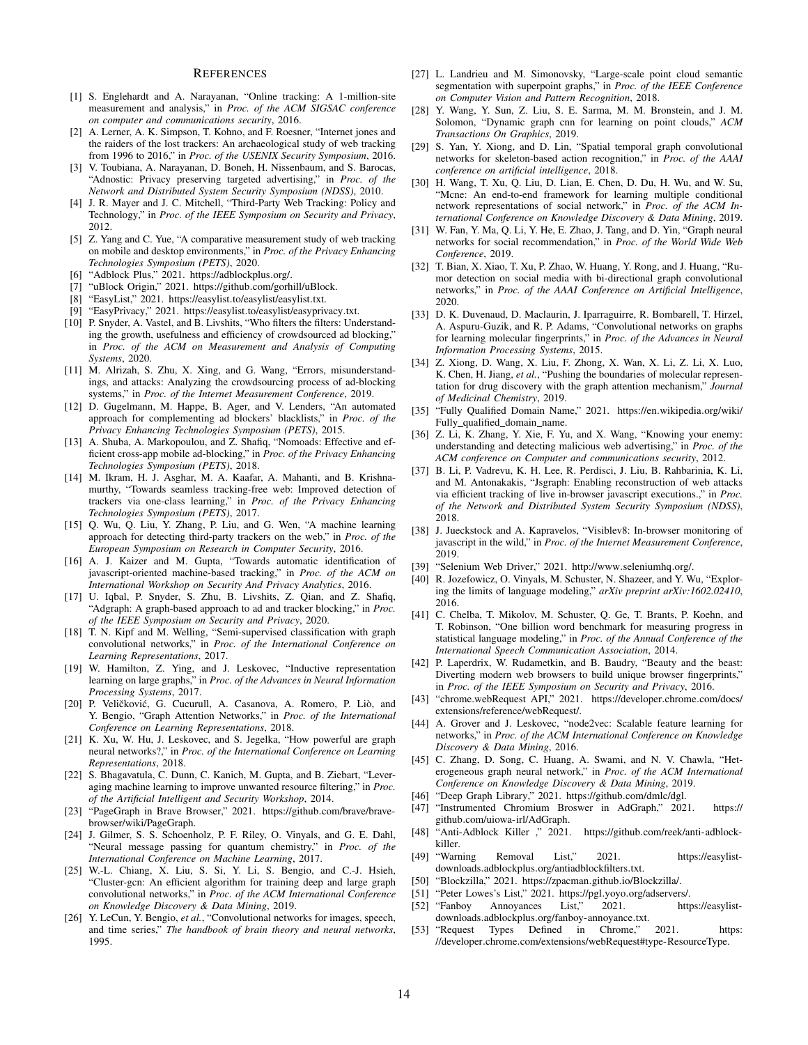#### **REFERENCES**

- [1] S. Englehardt and A. Narayanan, "Online tracking: A 1-million-site measurement and analysis," in *Proc. of the ACM SIGSAC conference on computer and communications security*, 2016.
- [2] A. Lerner, A. K. Simpson, T. Kohno, and F. Roesner, "Internet jones and the raiders of the lost trackers: An archaeological study of web tracking from 1996 to 2016," in *Proc. of the USENIX Security Symposium*, 2016.
- [3] V. Toubiana, A. Narayanan, D. Boneh, H. Nissenbaum, and S. Barocas, "Adnostic: Privacy preserving targeted advertising," in *Proc. of the Network and Distributed System Security Symposium (NDSS)*, 2010.
- [4] J. R. Mayer and J. C. Mitchell, "Third-Party Web Tracking: Policy and Technology," in *Proc. of the IEEE Symposium on Security and Privacy*, 2012.
- [5] Z. Yang and C. Yue, "A comparative measurement study of web tracking on mobile and desktop environments," in *Proc. of the Privacy Enhancing Technologies Symposium (PETS)*, 2020.
- [6] "Adblock Plus," 2021. https://adblockplus.org/.
- [7] "uBlock Origin," 2021. https://github.com/gorhill/uBlock.
- [8] "EasyList," 2021. https://easylist.to/easylist/easylist.txt.
- [9] "EasyPrivacy," 2021. https://easylist.to/easylist/easyprivacy.txt.
- [10] P. Snyder, A. Vastel, and B. Livshits, "Who filters the filters: Understanding the growth, usefulness and efficiency of crowdsourced ad blocking." in *Proc. of the ACM on Measurement and Analysis of Computing Systems*, 2020.
- [11] M. Alrizah, S. Zhu, X. Xing, and G. Wang, "Errors, misunderstandings, and attacks: Analyzing the crowdsourcing process of ad-blocking systems," in *Proc. of the Internet Measurement Conference*, 2019.
- [12] D. Gugelmann, M. Happe, B. Ager, and V. Lenders, "An automated approach for complementing ad blockers' blacklists," in *Proc. of the Privacy Enhancing Technologies Symposium (PETS)*, 2015.
- [13] A. Shuba, A. Markopoulou, and Z. Shafiq, "Nomoads: Effective and efficient cross-app mobile ad-blocking," in *Proc. of the Privacy Enhancing Technologies Symposium (PETS)*, 2018.
- [14] M. Ikram, H. J. Asghar, M. A. Kaafar, A. Mahanti, and B. Krishnamurthy, "Towards seamless tracking-free web: Improved detection of trackers via one-class learning," in *Proc. of the Privacy Enhancing Technologies Symposium (PETS)*, 2017.
- [15] Q. Wu, Q. Liu, Y. Zhang, P. Liu, and G. Wen, "A machine learning approach for detecting third-party trackers on the web," in *Proc. of the European Symposium on Research in Computer Security*, 2016.
- [16] A. J. Kaizer and M. Gupta, "Towards automatic identification of javascript-oriented machine-based tracking," in *Proc. of the ACM on International Workshop on Security And Privacy Analytics*, 2016.
- [17] U. Iqbal, P. Snyder, S. Zhu, B. Livshits, Z. Qian, and Z. Shafiq, "Adgraph: A graph-based approach to ad and tracker blocking," in *Proc. of the IEEE Symposium on Security and Privacy*, 2020.
- [18] T. N. Kipf and M. Welling, "Semi-supervised classification with graph convolutional networks," in *Proc. of the International Conference on Learning Representations*, 2017.
- [19] W. Hamilton, Z. Ying, and J. Leskovec, "Inductive representation learning on large graphs," in *Proc. of the Advances in Neural Information Processing Systems*, 2017.
- [20] P. Veličković, G. Cucurull, A. Casanova, A. Romero, P. Liò, and Y. Bengio, "Graph Attention Networks," in *Proc. of the International Conference on Learning Representations*, 2018.
- [21] K. Xu, W. Hu, J. Leskovec, and S. Jegelka, "How powerful are graph neural networks?," in *Proc. of the International Conference on Learning Representations*, 2018.
- [22] S. Bhagavatula, C. Dunn, C. Kanich, M. Gupta, and B. Ziebart, "Leveraging machine learning to improve unwanted resource filtering," in *Proc. of the Artificial Intelligent and Security Workshop*, 2014.
- [23] "PageGraph in Brave Browser," 2021. https://github.com/brave/bravebrowser/wiki/PageGraph.
- [24] J. Gilmer, S. S. Schoenholz, P. F. Riley, O. Vinyals, and G. E. Dahl, "Neural message passing for quantum chemistry," in *Proc. of the International Conference on Machine Learning*, 2017.
- [25] W.-L. Chiang, X. Liu, S. Si, Y. Li, S. Bengio, and C.-J. Hsieh, "Cluster-gcn: An efficient algorithm for training deep and large graph convolutional networks," in *Proc. of the ACM International Conference on Knowledge Discovery & Data Mining*, 2019.
- [26] Y. LeCun, Y. Bengio, et al., "Convolutional networks for images, speech, and time series," *The handbook of brain theory and neural networks*, 1995.
- [27] L. Landrieu and M. Simonovsky, "Large-scale point cloud semantic segmentation with superpoint graphs," in *Proc. of the IEEE Conference on Computer Vision and Pattern Recognition*, 2018.
- [28] Y. Wang, Y. Sun, Z. Liu, S. E. Sarma, M. M. Bronstein, and J. M. Solomon, "Dynamic graph cnn for learning on point clouds," ACM *Transactions On Graphics*, 2019.
- [29] S. Yan, Y. Xiong, and D. Lin, "Spatial temporal graph convolutional networks for skeleton-based action recognition," in *Proc. of the AAAI conference on artificial intelligence*, 2018.
- [30] H. Wang, T. Xu, Q. Liu, D. Lian, E. Chen, D. Du, H. Wu, and W. Su, "Mcne: An end-to-end framework for learning multiple conditional network representations of social network," in *Proc. of the ACM International Conference on Knowledge Discovery & Data Mining*, 2019.
- [31] W. Fan, Y. Ma, O. Li, Y. He, E. Zhao, J. Tang, and D. Yin, "Graph neural networks for social recommendation," in *Proc. of the World Wide Web Conference*, 2019.
- [32] T. Bian, X. Xiao, T. Xu, P. Zhao, W. Huang, Y. Rong, and J. Huang, "Rumor detection on social media with bi-directional graph convolutional networks," in *Proc. of the AAAI Conference on Artificial Intelligence*, 2020.
- [33] D. K. Duvenaud, D. Maclaurin, J. Iparraguirre, R. Bombarell, T. Hirzel, A. Aspuru-Guzik, and R. P. Adams, "Convolutional networks on graphs for learning molecular fingerprints," in *Proc. of the Advances in Neural Information Processing Systems*, 2015.
- [34] Z. Xiong, D. Wang, X. Liu, F. Zhong, X. Wan, X. Li, Z. Li, X. Luo, K. Chen, H. Jiang, *et al.*, "Pushing the boundaries of molecular representation for drug discovery with the graph attention mechanism," *Journal of Medicinal Chemistry*, 2019.
- [35] "Fully Qualified Domain Name," 2021. https://en.wikipedia.org/wiki/ Fully qualified domain name.
- [36] Z. Li, K. Zhang, Y. Xie, F. Yu, and X. Wang, "Knowing your enemy: understanding and detecting malicious web advertising," in *Proc. of the ACM conference on Computer and communications security*, 2012.
- [37] B. Li, P. Vadrevu, K. H. Lee, R. Perdisci, J. Liu, B. Rahbarinia, K. Li, and M. Antonakakis, "Jsgraph: Enabling reconstruction of web attacks via efficient tracking of live in-browser javascript executions.," in *Proc. of the Network and Distributed System Security Symposium (NDSS)*, 2018.
- [38] J. Jueckstock and A. Kapravelos, "Visiblev8: In-browser monitoring of javascript in the wild," in *Proc. of the Internet Measurement Conference*, 2019.
- [39] "Selenium Web Driver," 2021. http://www.seleniumhq.org/.
- [40] R. Jozefowicz, O. Vinyals, M. Schuster, N. Shazeer, and Y. Wu, "Exploring the limits of language modeling," *arXiv preprint arXiv:1602.02410*, 2016.
- [41] C. Chelba, T. Mikolov, M. Schuster, Q. Ge, T. Brants, P. Koehn, and T. Robinson, "One billion word benchmark for measuring progress in statistical language modeling," in *Proc. of the Annual Conference of the International Speech Communication Association*, 2014.
- [42] P. Laperdrix, W. Rudametkin, and B. Baudry, "Beauty and the beast: Diverting modern web browsers to build unique browser fingerprints," in *Proc. of the IEEE Symposium on Security and Privacy*, 2016.
- [43] "chrome.webRequest API," 2021. https://developer.chrome.com/docs/ extensions/reference/webRequest/.
- [44] A. Grover and J. Leskovec, "node2vec: Scalable feature learning for networks," in *Proc. of the ACM International Conference on Knowledge Discovery & Data Mining*, 2016.
- [45] C. Zhang, D. Song, C. Huang, A. Swami, and N. V. Chawla, "Heterogeneous graph neural network," in *Proc. of the ACM International Conference on Knowledge Discovery & Data Mining*, 2019.
- [46] "Deep Graph Library," 2021. https://github.com/dmlc/dgl.
- [47] "Instrumented Chromium Broswer in AdGraph," 2021. https:// github.com/uiowa-irl/AdGraph.
- [48] "Anti-Adblock Killer ," 2021. https://github.com/reek/anti-adblockkiller.
- [49] "Warning Removal List," 2021. https://easylistdownloads.adblockplus.org/antiadblockfilters.txt.
- [50] "Blockzilla," 2021. https://zpacman.github.io/Blockzilla/.
- [51] "Peter Lowes's List," 2021. https://pgl.yoyo.org/adservers/.
- [52] "Fanboy Annoyances List," 2021. https://easylistdownloads.adblockplus.org/fanboy-annoyance.txt.
- [53] "Request Types Defined in Chrome," 2021. https: //developer.chrome.com/extensions/webRequest#type-ResourceType.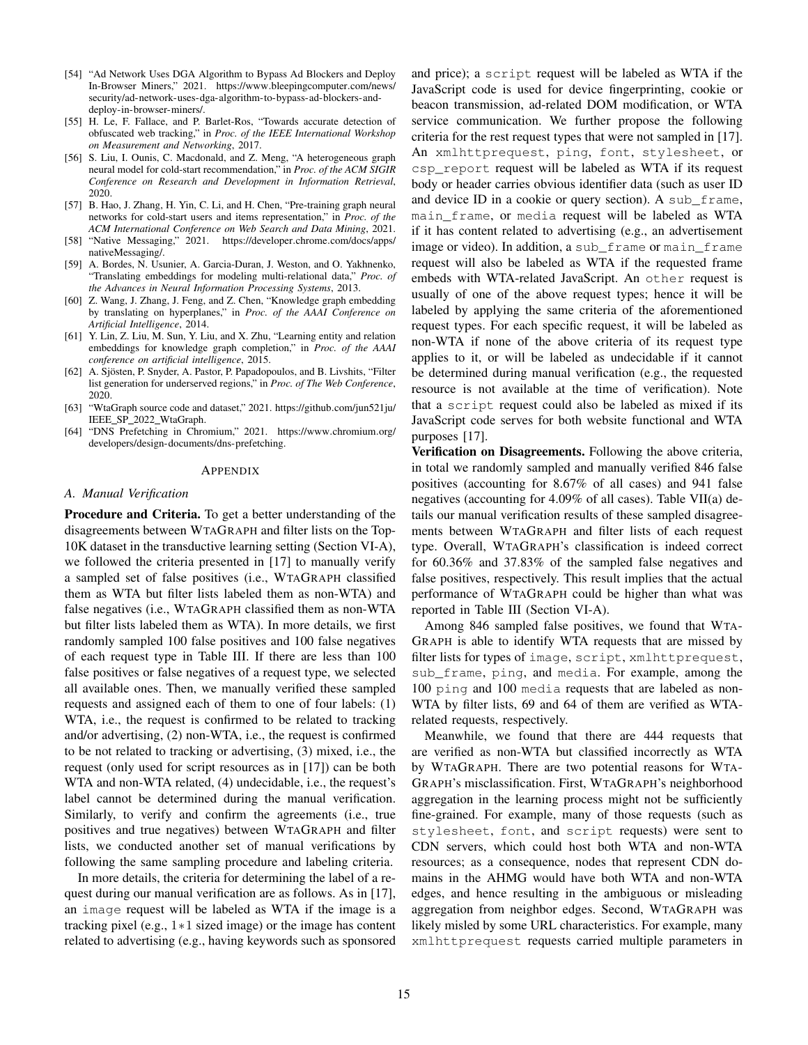- [54] "Ad Network Uses DGA Algorithm to Bypass Ad Blockers and Deploy In-Browser Miners," 2021. https://www.bleepingcomputer.com/news/ security/ad-network-uses-dga-algorithm-to-bypass-ad-blockers-anddeploy-in-browser-miners/.
- [55] H. Le, F. Fallace, and P. Barlet-Ros, "Towards accurate detection of obfuscated web tracking," in *Proc. of the IEEE International Workshop on Measurement and Networking*, 2017.
- [56] S. Liu, I. Ounis, C. Macdonald, and Z. Meng, "A heterogeneous graph neural model for cold-start recommendation," in *Proc. of the ACM SIGIR Conference on Research and Development in Information Retrieval*, 2020.
- [57] B. Hao, J. Zhang, H. Yin, C. Li, and H. Chen, "Pre-training graph neural networks for cold-start users and items representation," in *Proc. of the ACM International Conference on Web Search and Data Mining*, 2021.
- [58] "Native Messaging," 2021. https://developer.chrome.com/docs/apps/ nativeMessaging/.
- [59] A. Bordes, N. Usunier, A. Garcia-Duran, J. Weston, and O. Yakhnenko, "Translating embeddings for modeling multi-relational data," *Proc. of the Advances in Neural Information Processing Systems*, 2013.
- [60] Z. Wang, J. Zhang, J. Feng, and Z. Chen, "Knowledge graph embedding by translating on hyperplanes," in *Proc. of the AAAI Conference on Artificial Intelligence*, 2014.
- [61] Y. Lin, Z. Liu, M. Sun, Y. Liu, and X. Zhu, "Learning entity and relation embeddings for knowledge graph completion," in *Proc. of the AAAI conference on artificial intelligence*, 2015.
- [62] A. Sjösten, P. Snyder, A. Pastor, P. Papadopoulos, and B. Livshits, "Filter list generation for underserved regions," in *Proc. of The Web Conference*, 2020.
- [63] "WtaGraph source code and dataset," 2021. https://github.com/jun521ju/ IEEE\_SP\_2022\_WtaGraph.
- [64] "DNS Prefetching in Chromium," 2021. https://www.chromium.org/ developers/design-documents/dns-prefetching.

#### APPENDIX

#### *A. Manual Verification*

Procedure and Criteria. To get a better understanding of the disagreements between WTAGRAPH and filter lists on the Top-10K dataset in the transductive learning setting (Section VI-A), we followed the criteria presented in [17] to manually verify a sampled set of false positives (i.e., WTAGRAPH classified them as WTA but filter lists labeled them as non-WTA) and false negatives (i.e., WTAGRAPH classified them as non-WTA but filter lists labeled them as WTA). In more details, we first randomly sampled 100 false positives and 100 false negatives of each request type in Table III. If there are less than 100 false positives or false negatives of a request type, we selected all available ones. Then, we manually verified these sampled requests and assigned each of them to one of four labels: (1) WTA, i.e., the request is confirmed to be related to tracking and/or advertising, (2) non-WTA, i.e., the request is confirmed to be not related to tracking or advertising, (3) mixed, i.e., the request (only used for script resources as in [17]) can be both WTA and non-WTA related, (4) undecidable, i.e., the request's label cannot be determined during the manual verification. Similarly, to verify and confirm the agreements (i.e., true positives and true negatives) between WTAGRAPH and filter lists, we conducted another set of manual verifications by following the same sampling procedure and labeling criteria.

In more details, the criteria for determining the label of a request during our manual verification are as follows. As in [17], an image request will be labeled as WTA if the image is a tracking pixel (e.g., 1∗1 sized image) or the image has content related to advertising (e.g., having keywords such as sponsored and price); a script request will be labeled as WTA if the JavaScript code is used for device fingerprinting, cookie or beacon transmission, ad-related DOM modification, or WTA service communication. We further propose the following criteria for the rest request types that were not sampled in [17]. An xmlhttprequest, ping, font, stylesheet, or csp\_report request will be labeled as WTA if its request body or header carries obvious identifier data (such as user ID and device ID in a cookie or query section). A sub\_frame, main\_frame, or media request will be labeled as WTA if it has content related to advertising (e.g., an advertisement image or video). In addition, a sub\_frame or main\_frame request will also be labeled as WTA if the requested frame embeds with WTA-related JavaScript. An other request is usually of one of the above request types; hence it will be labeled by applying the same criteria of the aforementioned request types. For each specific request, it will be labeled as non-WTA if none of the above criteria of its request type applies to it, or will be labeled as undecidable if it cannot be determined during manual verification (e.g., the requested resource is not available at the time of verification). Note that a script request could also be labeled as mixed if its JavaScript code serves for both website functional and WTA purposes [17].

Verification on Disagreements. Following the above criteria, in total we randomly sampled and manually verified 846 false positives (accounting for 8.67% of all cases) and 941 false negatives (accounting for 4.09% of all cases). Table VII(a) details our manual verification results of these sampled disagreements between WTAGRAPH and filter lists of each request type. Overall, WTAGRAPH's classification is indeed correct for 60.36% and 37.83% of the sampled false negatives and false positives, respectively. This result implies that the actual performance of WTAGRAPH could be higher than what was reported in Table III (Section VI-A).

Among 846 sampled false positives, we found that WTA-GRAPH is able to identify WTA requests that are missed by filter lists for types of image, script, xmlhttprequest, sub\_frame, ping, and media. For example, among the 100 ping and 100 media requests that are labeled as non-WTA by filter lists, 69 and 64 of them are verified as WTArelated requests, respectively.

Meanwhile, we found that there are 444 requests that are verified as non-WTA but classified incorrectly as WTA by WTAGRAPH. There are two potential reasons for WTA-GRAPH's misclassification. First, WTAGRAPH's neighborhood aggregation in the learning process might not be sufficiently fine-grained. For example, many of those requests (such as stylesheet, font, and script requests) were sent to CDN servers, which could host both WTA and non-WTA resources; as a consequence, nodes that represent CDN domains in the AHMG would have both WTA and non-WTA edges, and hence resulting in the ambiguous or misleading aggregation from neighbor edges. Second, WTAGRAPH was likely misled by some URL characteristics. For example, many xmlhttprequest requests carried multiple parameters in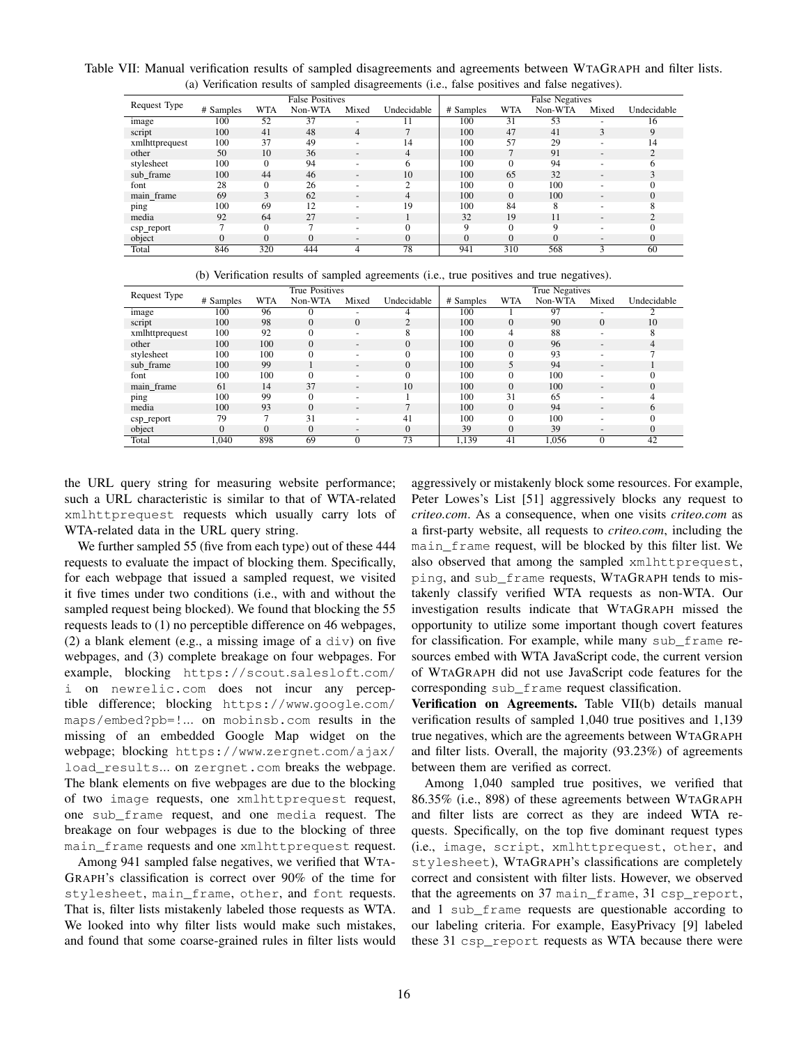Table VII: Manual verification results of sampled disagreements and agreements between WTAGRAPH and filter lists. (a) Verification results of sampled disagreements (i.e., false positives and false negatives).

| Request Type   |           |              | <b>False Positives</b> |                          |                 | <b>False Negatives</b> |            |          |       |             |  |
|----------------|-----------|--------------|------------------------|--------------------------|-----------------|------------------------|------------|----------|-------|-------------|--|
|                | # Samples | <b>WTA</b>   | Non-WTA                | Mixed                    | Undecidable     | # Samples              | <b>WTA</b> | Non-WTA  | Mixed | Undecidable |  |
| image          | 100       | 52           | 37                     |                          | 11              | 100                    | 31         | 53       |       | 16          |  |
| script         | 100       | 41           | 48                     | 4                        |                 | 100                    | 47         | 41       | 3     | 9           |  |
| xmlhttprequest | 100       | 37           | 49                     | $\sim$                   | 14              | 100                    | 57         | 29       | -     | 14          |  |
| other          | 50        | 10           | 36                     | $\overline{\phantom{a}}$ | 4               | 100                    |            | 91       | -     |             |  |
| stylesheet     | 100       | $\Omega$     | 94                     | $\overline{\phantom{a}}$ | 6               | 100                    | $\Omega$   | 94       | -     | h           |  |
| sub frame      | 100       | 44           | 46                     | $\overline{\phantom{0}}$ | 10              | 100                    | 65         | 32       | -     |             |  |
| font           | 28        | $\Omega$     | 26                     | $\overline{\phantom{a}}$ | $\mathfrak{D}$  | 100                    | $\Omega$   | 100      | -     |             |  |
| main frame     | 69        | $\mathbf{3}$ | 62                     | $\overline{\phantom{a}}$ | 4               | 100                    | $\Omega$   | 100      | -     |             |  |
| ping           | 100       | 69           | 12                     | $\overline{\phantom{a}}$ | 19              | 100                    | 84         | 8        | -     |             |  |
| media          | 92        | 64           | 27                     | $\overline{\phantom{a}}$ |                 | 32                     | 19         | 11       | -     |             |  |
| csp_report     |           | $\Omega$     |                        | $\overline{\phantom{0}}$ | 0               | 9                      | $\Omega$   | 9        | -     |             |  |
| object         |           | $\Omega$     | $\Omega$               | $\overline{\phantom{a}}$ | 0               | $\Omega$               | $\Omega$   | $\Omega$ | -     |             |  |
| Total          | 846       | 320          | 444                    | 4                        | $\overline{78}$ | 941                    | 310        | 568      | 3     | 60          |  |

(b) Verification results of sampled agreements (i.e., true positives and true negatives).

|                |           |            | <b>True Positives</b> |                          |                 | True Negatives |            |         |                          |             |  |
|----------------|-----------|------------|-----------------------|--------------------------|-----------------|----------------|------------|---------|--------------------------|-------------|--|
| Request Type   | # Samples | <b>WTA</b> | Non-WTA               | Mixed                    | Undecidable     | # Samples      | <b>WTA</b> | Non-WTA | Mixed                    | Undecidable |  |
| image          | 100       | 96         |                       |                          |                 | 100            |            | 97      |                          |             |  |
| script         | 100       | 98         | 0                     | 0                        |                 | 100            | $\Omega$   | 90      | $\mathbf{0}$             | 10          |  |
| xmlhttprequest | 100       | 92         | $\Omega$              | $\overline{\phantom{0}}$ | 8               | 100            | 4          | 88      | -                        | 8           |  |
| other          | 100       | 100        | $\Omega$              | $\overline{\phantom{a}}$ |                 | 100            | $\Omega$   | 96      | $\overline{\phantom{a}}$ | 4           |  |
| stylesheet     | 100       | 100        | $\Omega$              | $\overline{\phantom{0}}$ |                 | 100            | $\Omega$   | 93      | -                        |             |  |
| sub_frame      | 100       | 99         |                       | $\overline{\phantom{a}}$ |                 | 100            | 5          | 94      | $\overline{\phantom{a}}$ |             |  |
| font           | 100       | 100        | $\Omega$              | $\overline{\phantom{a}}$ | $\Omega$        | 100            | $\Omega$   | 100     | -                        | 0           |  |
| main frame     | 61        | 14         | 37                    | $\overline{\phantom{a}}$ | 10              | 100            | $\Omega$   | 100     | $\overline{\phantom{a}}$ | $\Omega$    |  |
| ping           | 100       | 99         | $\Omega$              | $\overline{\phantom{a}}$ |                 | 100            | 31         | 65      | -                        |             |  |
| media          | 100       | 93         | $\Omega$              | $\overline{\phantom{a}}$ |                 | 100            | $\Omega$   | 94      | $\overline{\phantom{a}}$ | 6           |  |
| csp_report     | 79        |            | 31                    | $\overline{\phantom{a}}$ | 41              | 100            | $\Omega$   | 100     | $\overline{\phantom{0}}$ | $\Omega$    |  |
| object         | $\Omega$  | $\Omega$   | $\Omega$              | $\qquad \qquad$          | $\Omega$        | 39             | $\Omega$   | 39      |                          | $\Omega$    |  |
| Total          | 1.040     | 898        | 69                    |                          | $\overline{73}$ | $\sqrt{139}$   | 41         | 1.056   | $\Omega$                 | 42          |  |

the URL query string for measuring website performance; such a URL characteristic is similar to that of WTA-related xmlhttprequest requests which usually carry lots of WTA-related data in the URL query string.

We further sampled 55 (five from each type) out of these 444 requests to evaluate the impact of blocking them. Specifically, for each webpage that issued a sampled request, we visited it five times under two conditions (i.e., with and without the sampled request being blocked). We found that blocking the 55 requests leads to (1) no perceptible difference on 46 webpages, (2) a blank element (e.g., a missing image of a  $div$ ) on five webpages, and (3) complete breakage on four webpages. For example, blocking https://scout.salesloft.com/ i on newrelic.com does not incur any perceptible difference; blocking https://www.google.com/ maps/embed?pb=!... on mobinsb.com results in the missing of an embedded Google Map widget on the webpage; blocking https://www.zergnet.com/ajax/ load\_results... on zergnet.com breaks the webpage. The blank elements on five webpages are due to the blocking of two image requests, one xmlhttprequest request, one sub\_frame request, and one media request. The breakage on four webpages is due to the blocking of three main\_frame requests and one xmlhttprequest request.

Among 941 sampled false negatives, we verified that WTA-GRAPH's classification is correct over 90% of the time for stylesheet, main\_frame, other, and font requests. That is, filter lists mistakenly labeled those requests as WTA. We looked into why filter lists would make such mistakes, and found that some coarse-grained rules in filter lists would

aggressively or mistakenly block some resources. For example, Peter Lowes's List [51] aggressively blocks any request to *criteo.com*. As a consequence, when one visits *criteo.com* as a first-party website, all requests to *criteo.com*, including the main frame request, will be blocked by this filter list. We also observed that among the sampled xmlhttprequest, ping, and sub\_frame requests, WTAGRAPH tends to mistakenly classify verified WTA requests as non-WTA. Our investigation results indicate that WTAGRAPH missed the opportunity to utilize some important though covert features for classification. For example, while many sub\_frame resources embed with WTA JavaScript code, the current version of WTAGRAPH did not use JavaScript code features for the corresponding sub\_frame request classification.

Verification on Agreements. Table VII(b) details manual verification results of sampled 1,040 true positives and 1,139 true negatives, which are the agreements between WTAGRAPH and filter lists. Overall, the majority (93.23%) of agreements between them are verified as correct.

Among 1,040 sampled true positives, we verified that 86.35% (i.e., 898) of these agreements between WTAGRAPH and filter lists are correct as they are indeed WTA requests. Specifically, on the top five dominant request types (i.e., image, script, xmlhttprequest, other, and stylesheet), WTAGRAPH's classifications are completely correct and consistent with filter lists. However, we observed that the agreements on 37 main\_frame, 31 csp\_report, and 1 sub\_frame requests are questionable according to our labeling criteria. For example, EasyPrivacy [9] labeled these 31 csp\_report requests as WTA because there were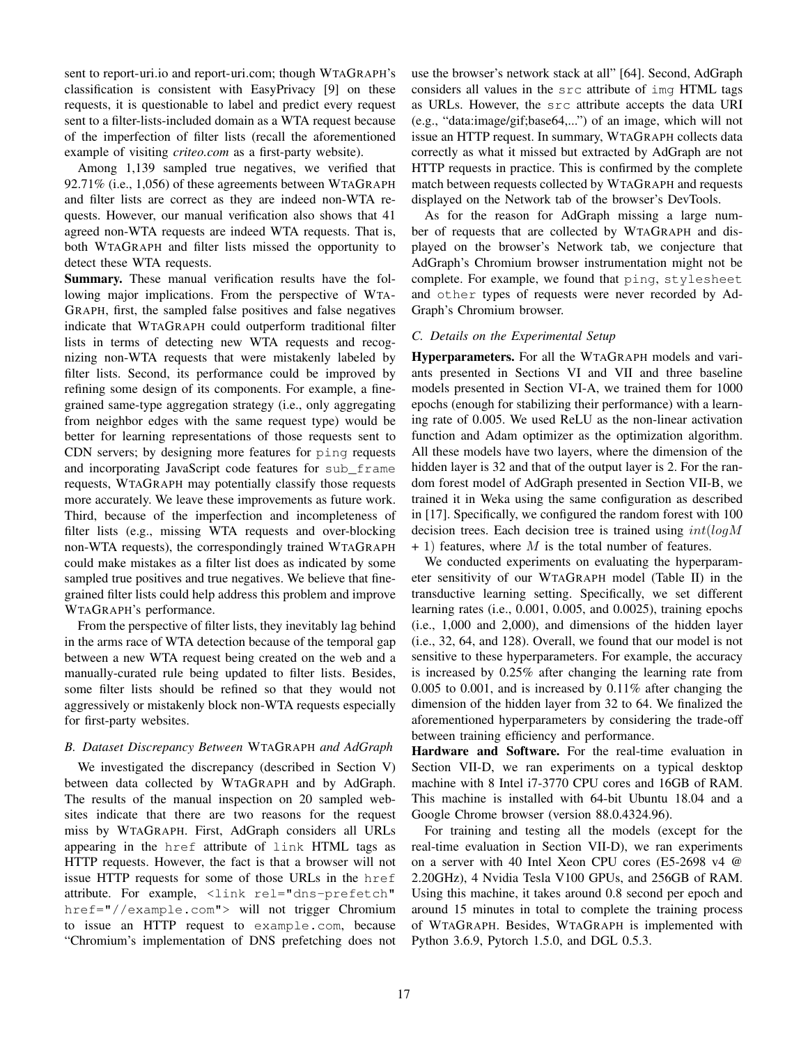sent to report-uri.io and report-uri.com; though WTAGRAPH's classification is consistent with EasyPrivacy [9] on these requests, it is questionable to label and predict every request sent to a filter-lists-included domain as a WTA request because of the imperfection of filter lists (recall the aforementioned example of visiting *criteo.com* as a first-party website).

Among 1,139 sampled true negatives, we verified that 92.71% (i.e., 1,056) of these agreements between WTAGRAPH and filter lists are correct as they are indeed non-WTA requests. However, our manual verification also shows that 41 agreed non-WTA requests are indeed WTA requests. That is, both WTAGRAPH and filter lists missed the opportunity to detect these WTA requests.

Summary. These manual verification results have the following major implications. From the perspective of WTA-GRAPH, first, the sampled false positives and false negatives indicate that WTAGRAPH could outperform traditional filter lists in terms of detecting new WTA requests and recognizing non-WTA requests that were mistakenly labeled by filter lists. Second, its performance could be improved by refining some design of its components. For example, a finegrained same-type aggregation strategy (i.e., only aggregating from neighbor edges with the same request type) would be better for learning representations of those requests sent to CDN servers; by designing more features for ping requests and incorporating JavaScript code features for sub\_frame requests, WTAGRAPH may potentially classify those requests more accurately. We leave these improvements as future work. Third, because of the imperfection and incompleteness of filter lists (e.g., missing WTA requests and over-blocking non-WTA requests), the correspondingly trained WTAGRAPH could make mistakes as a filter list does as indicated by some sampled true positives and true negatives. We believe that finegrained filter lists could help address this problem and improve WTAGRAPH's performance.

From the perspective of filter lists, they inevitably lag behind in the arms race of WTA detection because of the temporal gap between a new WTA request being created on the web and a manually-curated rule being updated to filter lists. Besides, some filter lists should be refined so that they would not aggressively or mistakenly block non-WTA requests especially for first-party websites.

#### *B. Dataset Discrepancy Between* WTAGRAPH *and AdGraph*

We investigated the discrepancy (described in Section V) between data collected by WTAGRAPH and by AdGraph. The results of the manual inspection on 20 sampled websites indicate that there are two reasons for the request miss by WTAGRAPH. First, AdGraph considers all URLs appearing in the href attribute of link HTML tags as HTTP requests. However, the fact is that a browser will not issue HTTP requests for some of those URLs in the href attribute. For example, <link rel="dns-prefetch" href="//example.com"> will not trigger Chromium to issue an HTTP request to example.com, because "Chromium's implementation of DNS prefetching does not use the browser's network stack at all" [64]. Second, AdGraph considers all values in the src attribute of img HTML tags as URLs. However, the src attribute accepts the data URI (e.g., "data:image/gif;base64,...") of an image, which will not issue an HTTP request. In summary, WTAGRAPH collects data correctly as what it missed but extracted by AdGraph are not HTTP requests in practice. This is confirmed by the complete match between requests collected by WTAGRAPH and requests displayed on the Network tab of the browser's DevTools.

As for the reason for AdGraph missing a large number of requests that are collected by WTAGRAPH and displayed on the browser's Network tab, we conjecture that AdGraph's Chromium browser instrumentation might not be complete. For example, we found that ping, stylesheet and other types of requests were never recorded by Ad-Graph's Chromium browser.

# *C. Details on the Experimental Setup*

Hyperparameters. For all the WTAGRAPH models and variants presented in Sections VI and VII and three baseline models presented in Section VI-A, we trained them for 1000 epochs (enough for stabilizing their performance) with a learning rate of 0.005. We used ReLU as the non-linear activation function and Adam optimizer as the optimization algorithm. All these models have two layers, where the dimension of the hidden layer is 32 and that of the output layer is 2. For the random forest model of AdGraph presented in Section VII-B, we trained it in Weka using the same configuration as described in [17]. Specifically, we configured the random forest with 100 decision trees. Each decision tree is trained using  $int(logM)$  $+ 1$ ) features, where M is the total number of features.

We conducted experiments on evaluating the hyperparameter sensitivity of our WTAGRAPH model (Table II) in the transductive learning setting. Specifically, we set different learning rates (i.e., 0.001, 0.005, and 0.0025), training epochs (i.e., 1,000 and 2,000), and dimensions of the hidden layer (i.e., 32, 64, and 128). Overall, we found that our model is not sensitive to these hyperparameters. For example, the accuracy is increased by 0.25% after changing the learning rate from 0.005 to 0.001, and is increased by 0.11% after changing the dimension of the hidden layer from 32 to 64. We finalized the aforementioned hyperparameters by considering the trade-off between training efficiency and performance.

Hardware and Software. For the real-time evaluation in Section VII-D, we ran experiments on a typical desktop machine with 8 Intel i7-3770 CPU cores and 16GB of RAM. This machine is installed with 64-bit Ubuntu 18.04 and a Google Chrome browser (version 88.0.4324.96).

For training and testing all the models (except for the real-time evaluation in Section VII-D), we ran experiments on a server with 40 Intel Xeon CPU cores (E5-2698 v4 @ 2.20GHz), 4 Nvidia Tesla V100 GPUs, and 256GB of RAM. Using this machine, it takes around 0.8 second per epoch and around 15 minutes in total to complete the training process of WTAGRAPH. Besides, WTAGRAPH is implemented with Python 3.6.9, Pytorch 1.5.0, and DGL 0.5.3.